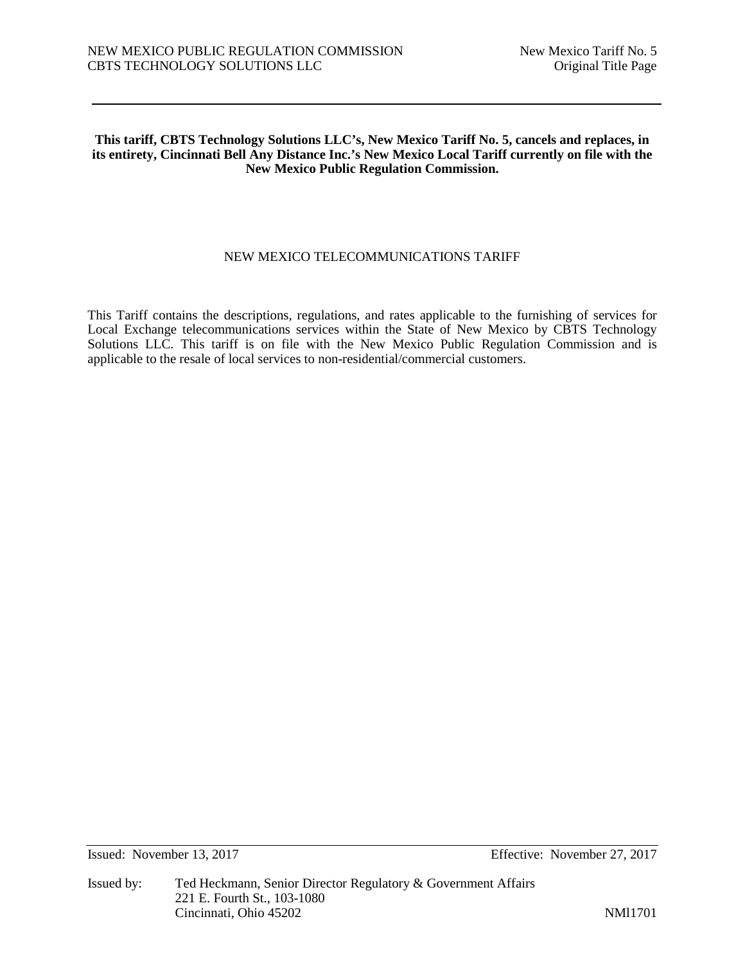#### **This tariff, CBTS Technology Solutions LLC's, New Mexico Tariff No. 5, cancels and replaces, in its entirety, Cincinnati Bell Any Distance Inc.'s New Mexico Local Tariff currently on file with the New Mexico Public Regulation Commission.**

## NEW MEXICO TELECOMMUNICATIONS TARIFF

This Tariff contains the descriptions, regulations, and rates applicable to the furnishing of services for Local Exchange telecommunications services within the State of New Mexico by CBTS Technology Solutions LLC. This tariff is on file with the New Mexico Public Regulation Commission and is applicable to the resale of local services to non-residential/commercial customers.

Issued: November 13, 2017 Effective: November 27, 2017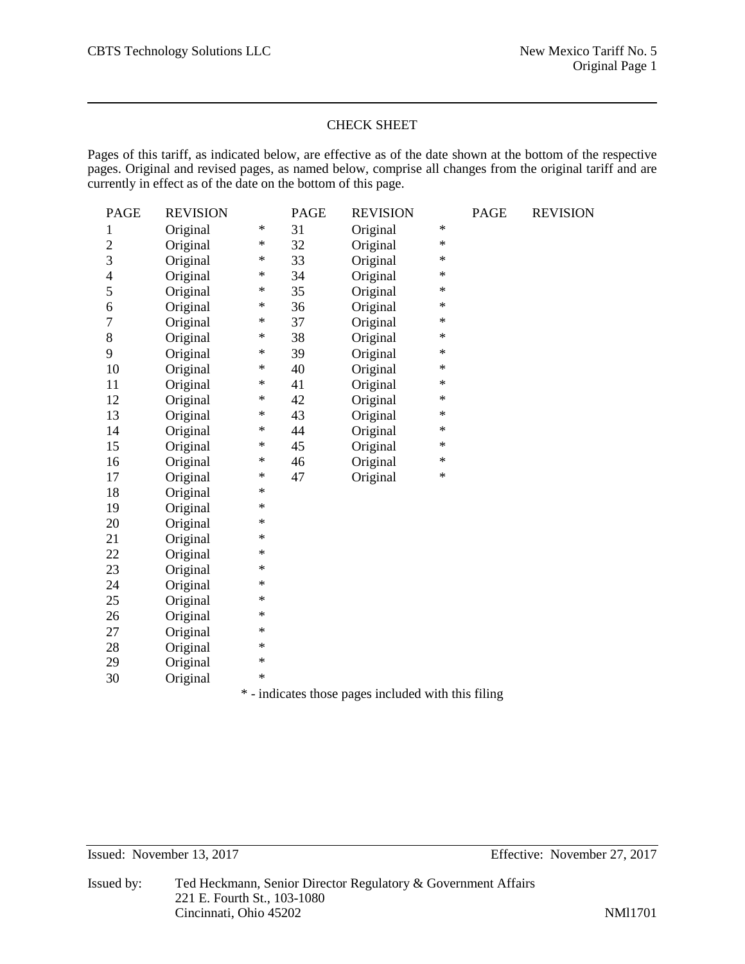## CHECK SHEET

Pages of this tariff, as indicated below, are effective as of the date shown at the bottom of the respective pages. Original and revised pages, as named below, comprise all changes from the original tariff and are currently in effect as of the date on the bottom of this page.

| <b>PAGE</b>                                         | <b>REVISION</b> |        | <b>PAGE</b> | <b>REVISION</b> |        | <b>PAGE</b> | <b>REVISION</b> |
|-----------------------------------------------------|-----------------|--------|-------------|-----------------|--------|-------------|-----------------|
| $\mathbf{1}$                                        | Original        | $\ast$ | 31          | Original        | $\ast$ |             |                 |
| $\overline{2}$                                      | Original        | ∗      | 32          | Original        | $\ast$ |             |                 |
| 3                                                   | Original        | ∗      | 33          | Original        | $\ast$ |             |                 |
| 4                                                   | Original        | $\ast$ | 34          | Original        | $\ast$ |             |                 |
| 5                                                   | Original        | ∗      | 35          | Original        | ∗      |             |                 |
| 6                                                   | Original        | ∗      | 36          | Original        | ∗      |             |                 |
| 7                                                   | Original        | $\ast$ | 37          | Original        | $\ast$ |             |                 |
| 8                                                   | Original        | ∗      | 38          | Original        | ∗      |             |                 |
| 9                                                   | Original        | $\ast$ | 39          | Original        | $\ast$ |             |                 |
| 10                                                  | Original        | ∗      | 40          | Original        | $\ast$ |             |                 |
| 11                                                  | Original        | $\ast$ | 41          | Original        | $\ast$ |             |                 |
| 12                                                  | Original        | ∗      | 42          | Original        | ∗      |             |                 |
| 13                                                  | Original        | ∗      | 43          | Original        | $\ast$ |             |                 |
| 14                                                  | Original        | $\ast$ | 44          | Original        | $\ast$ |             |                 |
| 15                                                  | Original        | ∗      | 45          | Original        | ∗      |             |                 |
| 16                                                  | Original        | ∗      | 46          | Original        | $\ast$ |             |                 |
| 17                                                  | Original        | $\ast$ | 47          | Original        | $\ast$ |             |                 |
| 18                                                  | Original        | $\ast$ |             |                 |        |             |                 |
| 19                                                  | Original        | *      |             |                 |        |             |                 |
| 20                                                  | Original        | $\ast$ |             |                 |        |             |                 |
| 21                                                  | Original        | $\ast$ |             |                 |        |             |                 |
| 22                                                  | Original        | ∗      |             |                 |        |             |                 |
| 23                                                  | Original        | $\ast$ |             |                 |        |             |                 |
| 24                                                  | Original        | $\ast$ |             |                 |        |             |                 |
| 25                                                  | Original        | ∗      |             |                 |        |             |                 |
| 26                                                  | Original        | $\ast$ |             |                 |        |             |                 |
| 27                                                  | Original        | $\ast$ |             |                 |        |             |                 |
| 28                                                  | Original        | ∗      |             |                 |        |             |                 |
| 29                                                  | Original        | $\ast$ |             |                 |        |             |                 |
| 30                                                  | Original        | $\ast$ |             |                 |        |             |                 |
| * - indicates those pages included with this filing |                 |        |             |                 |        |             |                 |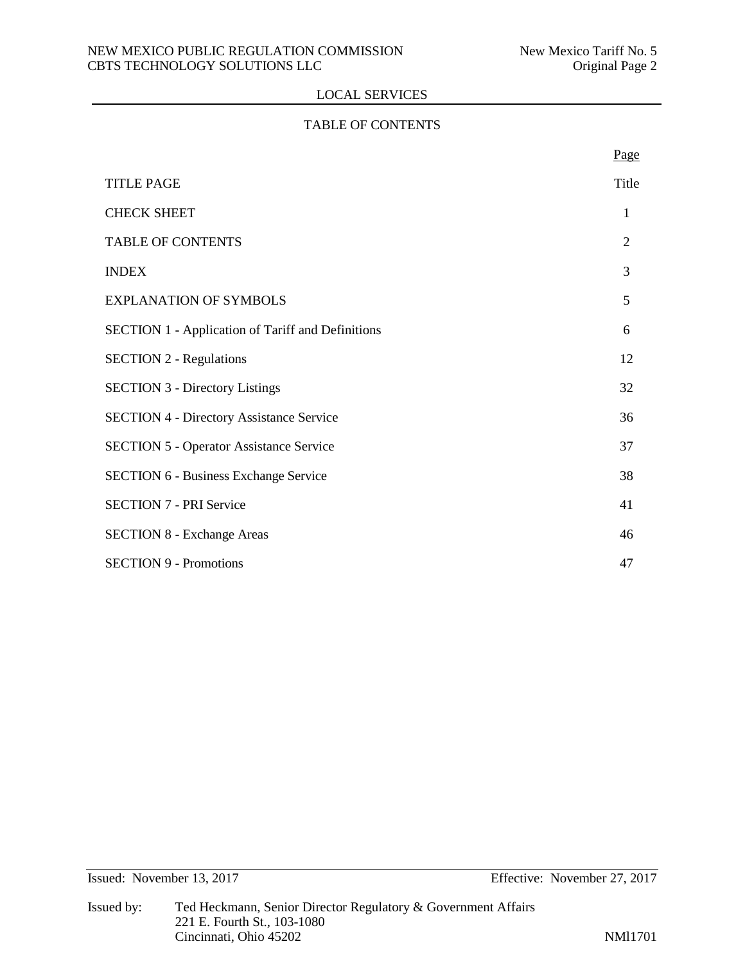## TABLE OF CONTENTS

|                                                          | Page           |
|----------------------------------------------------------|----------------|
| <b>TITLE PAGE</b>                                        | Title          |
| <b>CHECK SHEET</b>                                       | 1              |
| <b>TABLE OF CONTENTS</b>                                 | $\overline{2}$ |
| <b>INDEX</b>                                             | 3              |
| <b>EXPLANATION OF SYMBOLS</b>                            | 5              |
| <b>SECTION 1 - Application of Tariff and Definitions</b> | 6              |
| <b>SECTION 2 - Regulations</b>                           | 12             |
| <b>SECTION 3 - Directory Listings</b>                    | 32             |
| <b>SECTION 4 - Directory Assistance Service</b>          | 36             |
| <b>SECTION 5 - Operator Assistance Service</b>           | 37             |
| <b>SECTION 6 - Business Exchange Service</b>             | 38             |
| <b>SECTION 7 - PRI Service</b>                           | 41             |
| <b>SECTION 8 - Exchange Areas</b>                        | 46             |
| <b>SECTION 9 - Promotions</b>                            | 47             |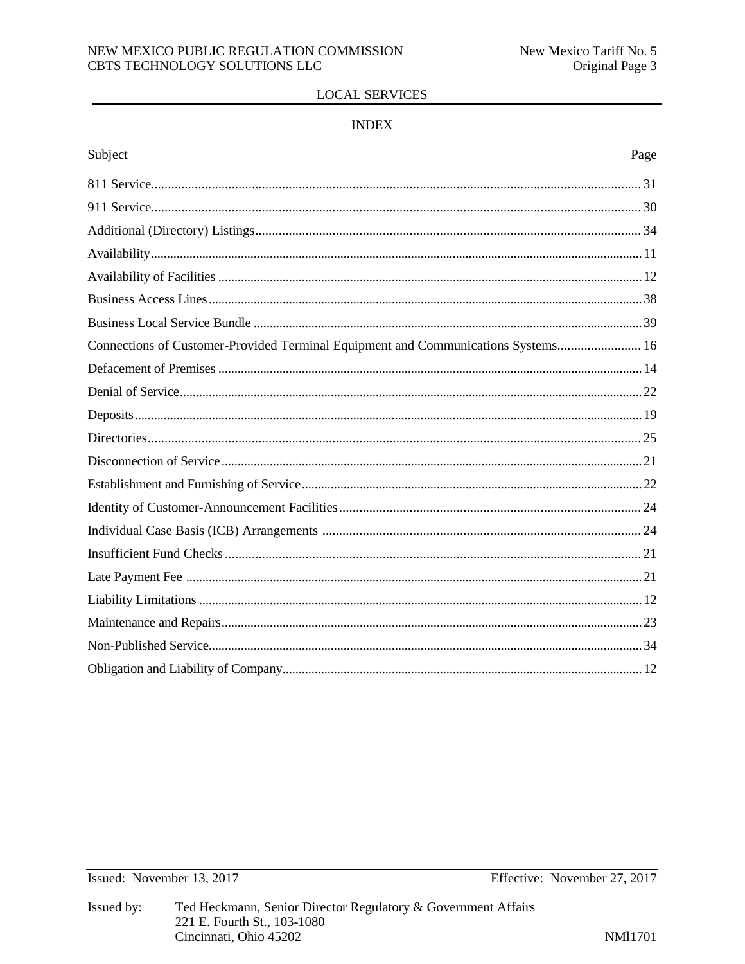## NEW MEXICO PUBLIC REGULATION COMMISSION CBTS TECHNOLOGY SOLUTIONS LLC

# **LOCAL SERVICES**

# **INDEX**

# Subject

| Connections of Customer-Provided Terminal Equipment and Communications Systems 16 |  |
|-----------------------------------------------------------------------------------|--|
|                                                                                   |  |
|                                                                                   |  |
|                                                                                   |  |
|                                                                                   |  |
|                                                                                   |  |
|                                                                                   |  |
|                                                                                   |  |
|                                                                                   |  |
|                                                                                   |  |
|                                                                                   |  |
|                                                                                   |  |
|                                                                                   |  |
|                                                                                   |  |
|                                                                                   |  |
|                                                                                   |  |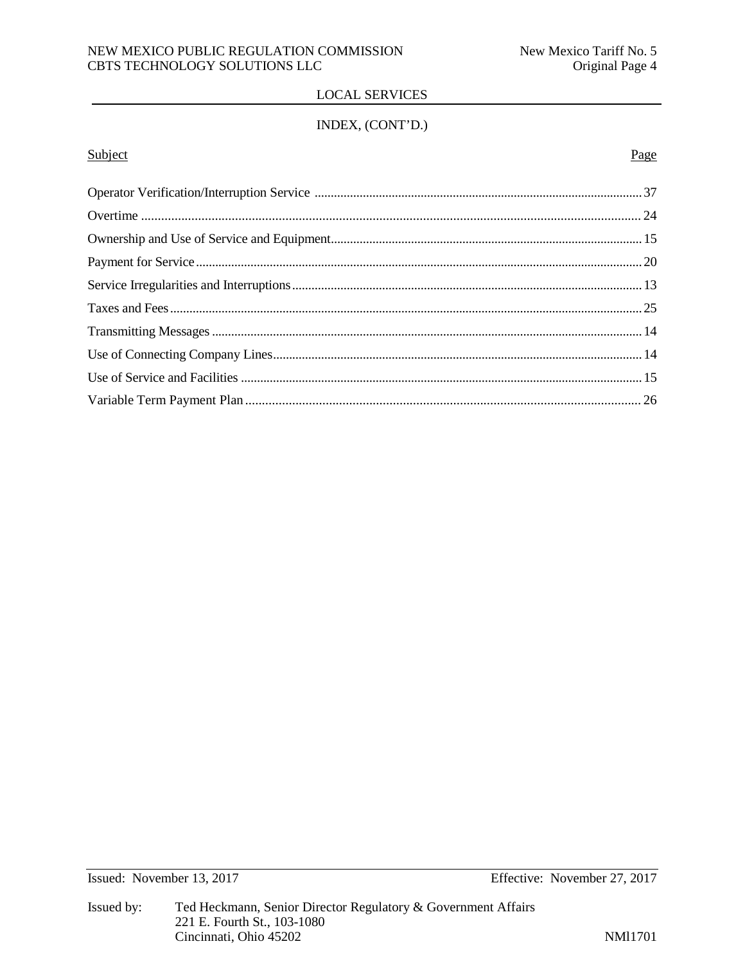# INDEX, (CONT'D.)

#### **Subject** Page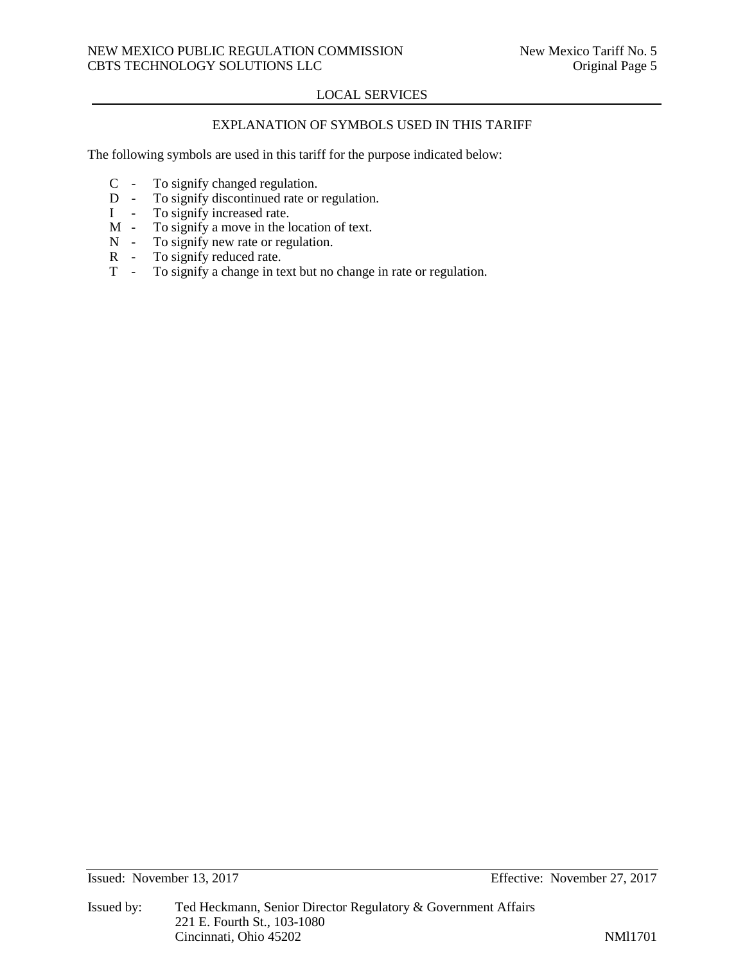# EXPLANATION OF SYMBOLS USED IN THIS TARIFF

The following symbols are used in this tariff for the purpose indicated below:

- C To signify changed regulation.<br>D To signify discontinued rate or
- D To signify discontinued rate or regulation.<br>I To signify increased rate.
- I To signify increased rate.<br>M To signify a move in the l
- $M To signify a move in the location of text.$ <br> $N To signify new rate or regulation.$
- $N To signify new rate or regulation.$ <br> $R To signify reduced rate.$
- To signify reduced rate.
- T To signify a change in text but no change in rate or regulation.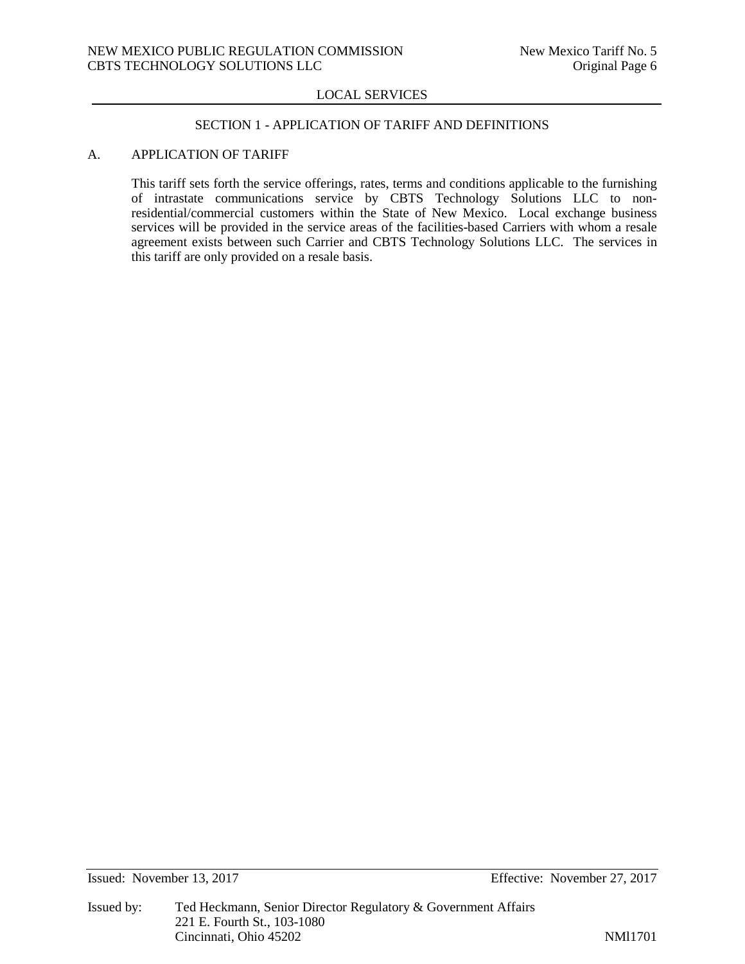#### SECTION 1 - APPLICATION OF TARIFF AND DEFINITIONS

## A. APPLICATION OF TARIFF

This tariff sets forth the service offerings, rates, terms and conditions applicable to the furnishing of intrastate communications service by CBTS Technology Solutions LLC to nonresidential/commercial customers within the State of New Mexico. Local exchange business services will be provided in the service areas of the facilities-based Carriers with whom a resale agreement exists between such Carrier and CBTS Technology Solutions LLC. The services in this tariff are only provided on a resale basis.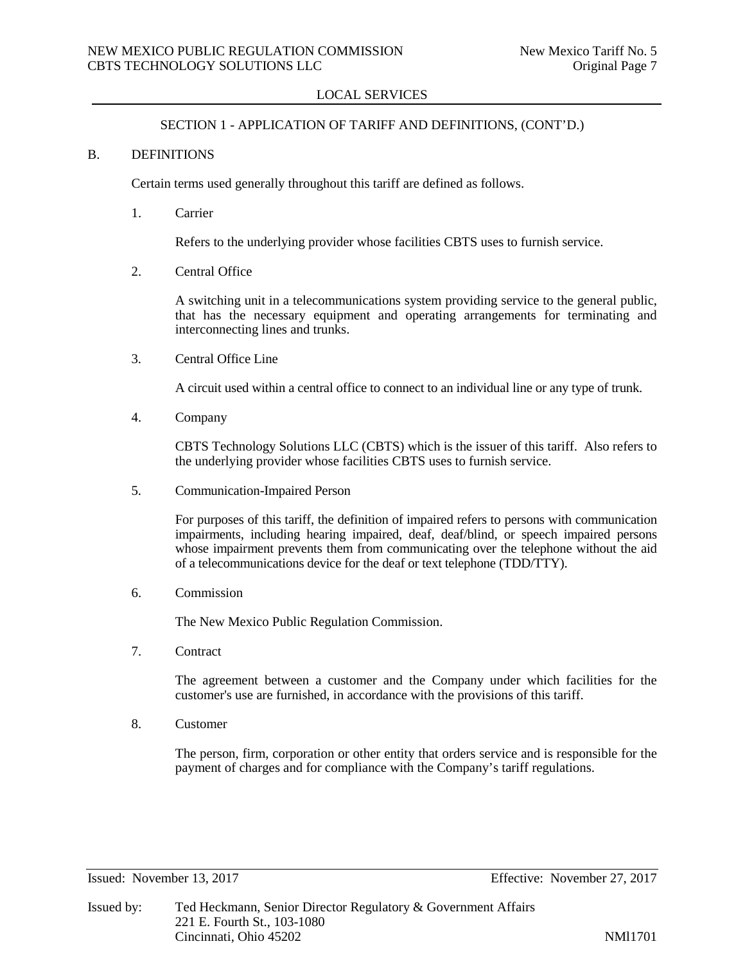## SECTION 1 - APPLICATION OF TARIFF AND DEFINITIONS, (CONT'D.)

#### B. DEFINITIONS

Certain terms used generally throughout this tariff are defined as follows.

1. Carrier

Refers to the underlying provider whose facilities CBTS uses to furnish service.

2. Central Office

A switching unit in a telecommunications system providing service to the general public, that has the necessary equipment and operating arrangements for terminating and interconnecting lines and trunks.

3. Central Office Line

A circuit used within a central office to connect to an individual line or any type of trunk.

4. Company

CBTS Technology Solutions LLC (CBTS) which is the issuer of this tariff. Also refers to the underlying provider whose facilities CBTS uses to furnish service.

5. Communication-Impaired Person

For purposes of this tariff, the definition of impaired refers to persons with communication impairments, including hearing impaired, deaf, deaf/blind, or speech impaired persons whose impairment prevents them from communicating over the telephone without the aid of a telecommunications device for the deaf or text telephone (TDD/TTY).

6. Commission

The New Mexico Public Regulation Commission.

7. Contract

The agreement between a customer and the Company under which facilities for the customer's use are furnished, in accordance with the provisions of this tariff.

8. Customer

The person, firm, corporation or other entity that orders service and is responsible for the payment of charges and for compliance with the Company's tariff regulations.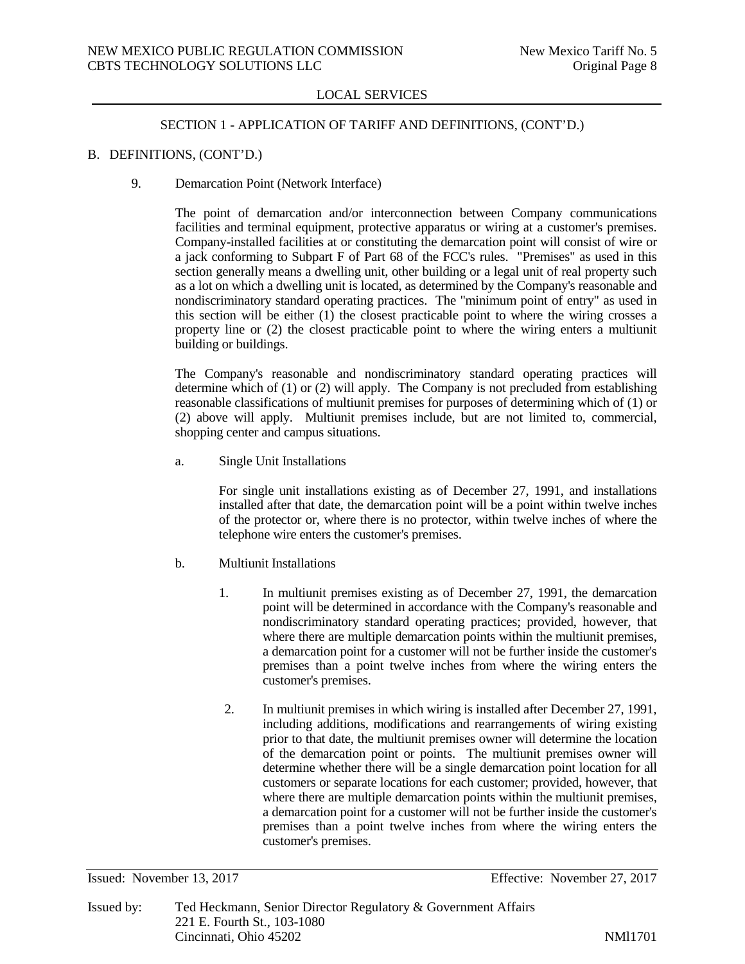#### SECTION 1 - APPLICATION OF TARIFF AND DEFINITIONS, (CONT'D.)

# B. DEFINITIONS, (CONT'D.)

9. Demarcation Point (Network Interface)

The point of demarcation and/or interconnection between Company communications facilities and terminal equipment, protective apparatus or wiring at a customer's premises. Company-installed facilities at or constituting the demarcation point will consist of wire or a jack conforming to Subpart F of Part 68 of the FCC's rules. "Premises" as used in this section generally means a dwelling unit, other building or a legal unit of real property such as a lot on which a dwelling unit is located, as determined by the Company's reasonable and nondiscriminatory standard operating practices. The "minimum point of entry" as used in this section will be either  $(1)$  the closest practicable point to where the wiring crosses a property line or (2) the closest practicable point to where the wiring enters a multiunit building or buildings.

The Company's reasonable and nondiscriminatory standard operating practices will determine which of (1) or (2) will apply. The Company is not precluded from establishing reasonable classifications of multiunit premises for purposes of determining which of (1) or (2) above will apply. Multiunit premises include, but are not limited to, commercial, shopping center and campus situations.

a. Single Unit Installations

For single unit installations existing as of December 27, 1991, and installations installed after that date, the demarcation point will be a point within twelve inches of the protector or, where there is no protector, within twelve inches of where the telephone wire enters the customer's premises.

- b. Multiunit Installations
	- 1. In multiunit premises existing as of December 27, 1991, the demarcation point will be determined in accordance with the Company's reasonable and nondiscriminatory standard operating practices; provided, however, that where there are multiple demarcation points within the multiunit premises, a demarcation point for a customer will not be further inside the customer's premises than a point twelve inches from where the wiring enters the customer's premises.
	- 2. In multiunit premises in which wiring is installed after December 27, 1991, including additions, modifications and rearrangements of wiring existing prior to that date, the multiunit premises owner will determine the location of the demarcation point or points. The multiunit premises owner will determine whether there will be a single demarcation point location for all customers or separate locations for each customer; provided, however, that where there are multiple demarcation points within the multiunit premises, a demarcation point for a customer will not be further inside the customer's premises than a point twelve inches from where the wiring enters the customer's premises.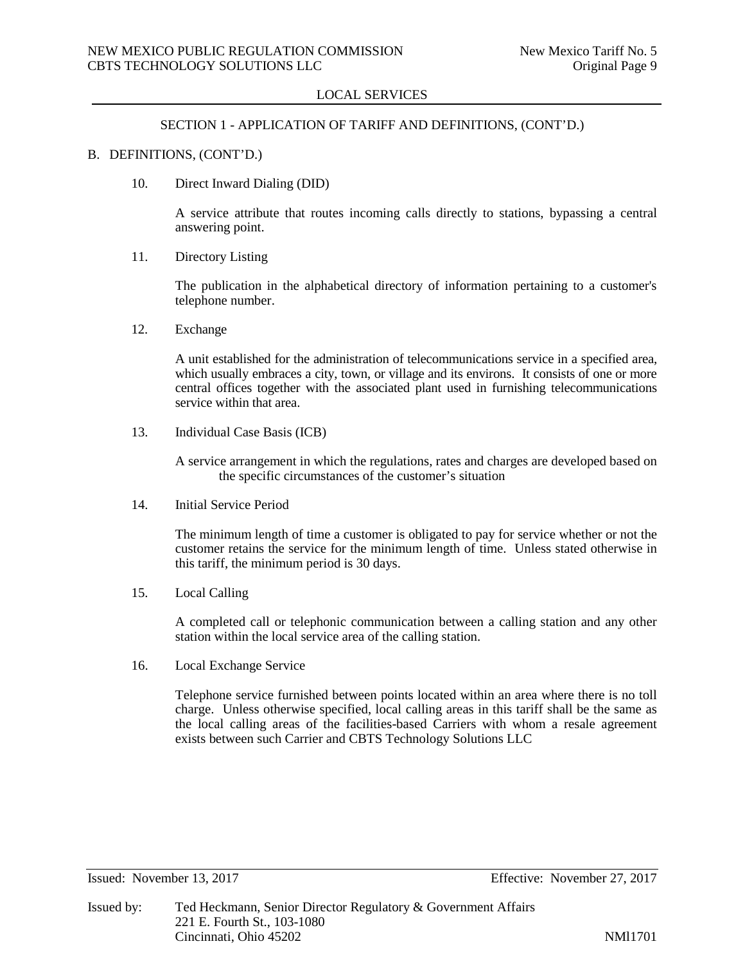#### SECTION 1 - APPLICATION OF TARIFF AND DEFINITIONS, (CONT'D.)

#### B. DEFINITIONS, (CONT'D.)

10. Direct Inward Dialing (DID)

A service attribute that routes incoming calls directly to stations, bypassing a central answering point.

11. Directory Listing

The publication in the alphabetical directory of information pertaining to a customer's telephone number.

12. Exchange

A unit established for the administration of telecommunications service in a specified area, which usually embraces a city, town, or village and its environs. It consists of one or more central offices together with the associated plant used in furnishing telecommunications service within that area.

13. Individual Case Basis (ICB)

A service arrangement in which the regulations, rates and charges are developed based on the specific circumstances of the customer's situation

14. Initial Service Period

The minimum length of time a customer is obligated to pay for service whether or not the customer retains the service for the minimum length of time. Unless stated otherwise in this tariff, the minimum period is 30 days.

15. Local Calling

A completed call or telephonic communication between a calling station and any other station within the local service area of the calling station.

16. Local Exchange Service

Telephone service furnished between points located within an area where there is no toll charge. Unless otherwise specified, local calling areas in this tariff shall be the same as the local calling areas of the facilities-based Carriers with whom a resale agreement exists between such Carrier and CBTS Technology Solutions LLC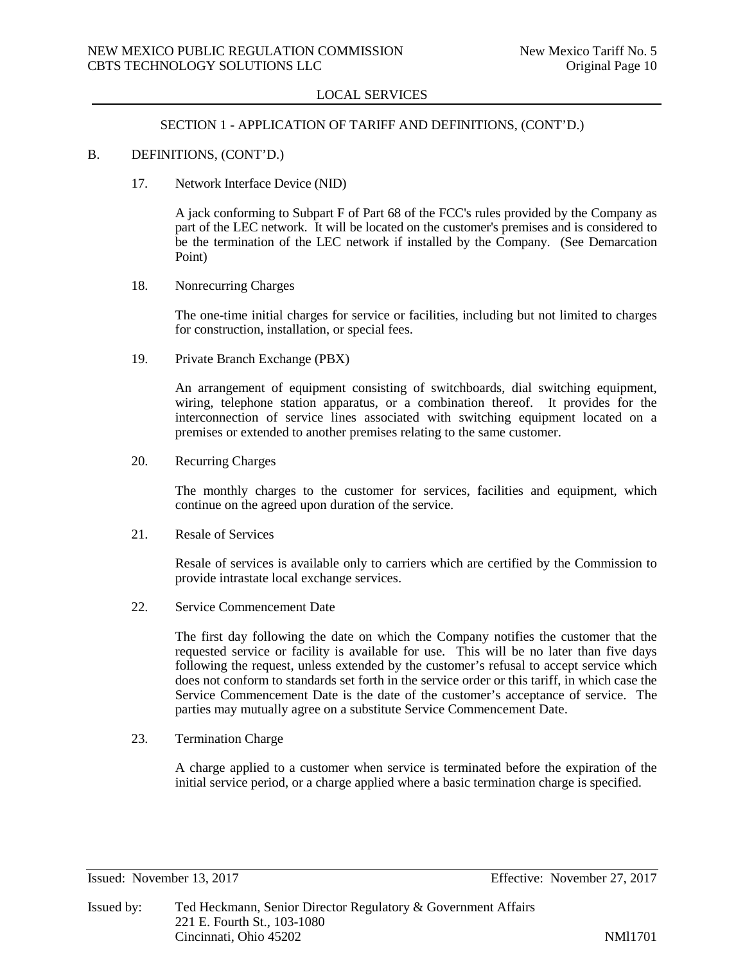#### SECTION 1 - APPLICATION OF TARIFF AND DEFINITIONS, (CONT'D.)

## B. DEFINITIONS, (CONT'D.)

17. Network Interface Device (NID)

A jack conforming to Subpart F of Part 68 of the FCC's rules provided by the Company as part of the LEC network. It will be located on the customer's premises and is considered to be the termination of the LEC network if installed by the Company. (See Demarcation Point)

18. Nonrecurring Charges

The one-time initial charges for service or facilities, including but not limited to charges for construction, installation, or special fees.

19. Private Branch Exchange (PBX)

An arrangement of equipment consisting of switchboards, dial switching equipment, wiring, telephone station apparatus, or a combination thereof. It provides for the interconnection of service lines associated with switching equipment located on a premises or extended to another premises relating to the same customer.

20. Recurring Charges

The monthly charges to the customer for services, facilities and equipment, which continue on the agreed upon duration of the service.

21. Resale of Services

Resale of services is available only to carriers which are certified by the Commission to provide intrastate local exchange services.

22. Service Commencement Date

The first day following the date on which the Company notifies the customer that the requested service or facility is available for use. This will be no later than five days following the request, unless extended by the customer's refusal to accept service which does not conform to standards set forth in the service order or this tariff, in which case the Service Commencement Date is the date of the customer's acceptance of service. The parties may mutually agree on a substitute Service Commencement Date.

23. Termination Charge

A charge applied to a customer when service is terminated before the expiration of the initial service period, or a charge applied where a basic termination charge is specified.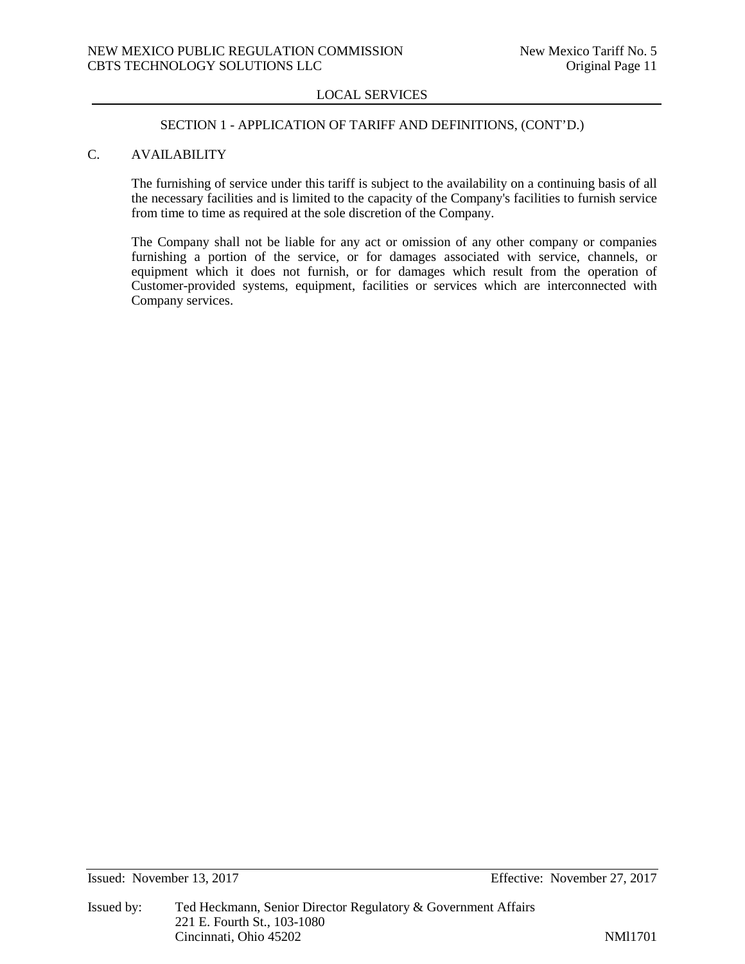#### SECTION 1 - APPLICATION OF TARIFF AND DEFINITIONS, (CONT'D.)

# C. AVAILABILITY

The furnishing of service under this tariff is subject to the availability on a continuing basis of all the necessary facilities and is limited to the capacity of the Company's facilities to furnish service from time to time as required at the sole discretion of the Company.

The Company shall not be liable for any act or omission of any other company or companies furnishing a portion of the service, or for damages associated with service, channels, or equipment which it does not furnish, or for damages which result from the operation of Customer-provided systems, equipment, facilities or services which are interconnected with Company services.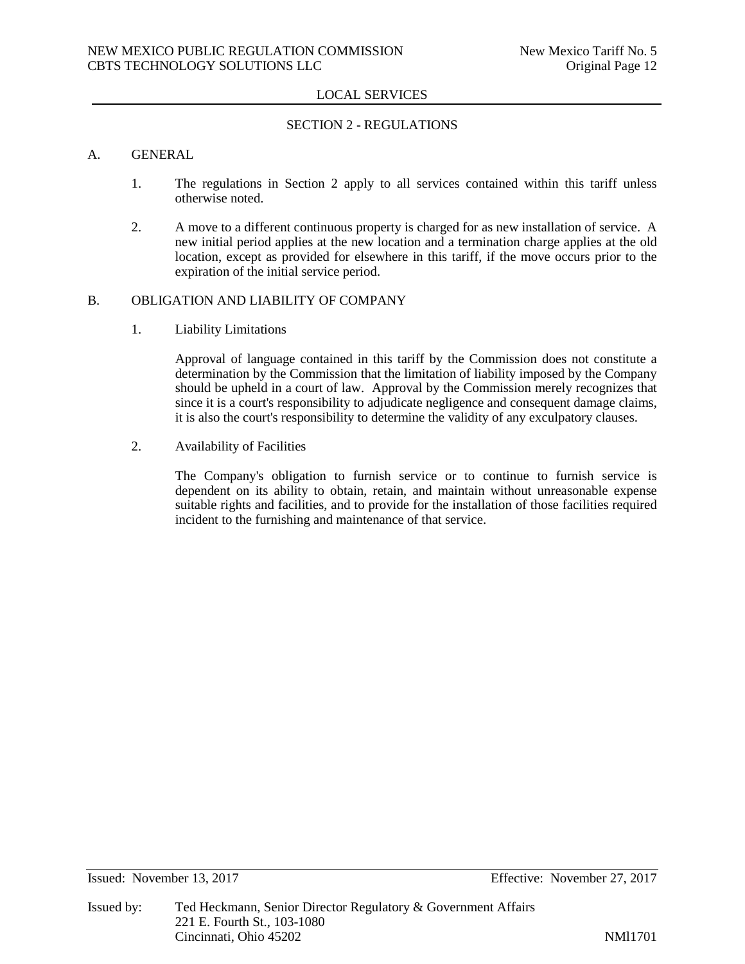## SECTION 2 - REGULATIONS

#### A. GENERAL

- 1. The regulations in Section 2 apply to all services contained within this tariff unless otherwise noted.
- 2. A move to a different continuous property is charged for as new installation of service. A new initial period applies at the new location and a termination charge applies at the old location, except as provided for elsewhere in this tariff, if the move occurs prior to the expiration of the initial service period.

# B. OBLIGATION AND LIABILITY OF COMPANY

1. Liability Limitations

Approval of language contained in this tariff by the Commission does not constitute a determination by the Commission that the limitation of liability imposed by the Company should be upheld in a court of law. Approval by the Commission merely recognizes that since it is a court's responsibility to adjudicate negligence and consequent damage claims, it is also the court's responsibility to determine the validity of any exculpatory clauses.

2. Availability of Facilities

The Company's obligation to furnish service or to continue to furnish service is dependent on its ability to obtain, retain, and maintain without unreasonable expense suitable rights and facilities, and to provide for the installation of those facilities required incident to the furnishing and maintenance of that service.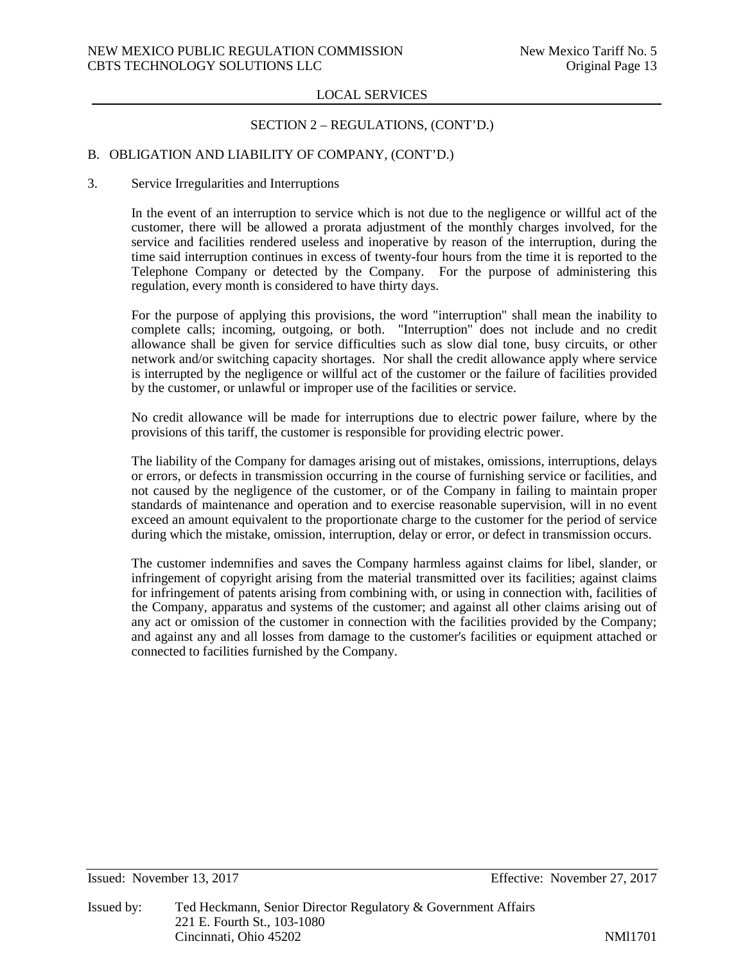## SECTION 2 – REGULATIONS, (CONT'D.)

## B. OBLIGATION AND LIABILITY OF COMPANY, (CONT'D.)

#### 3. Service Irregularities and Interruptions

In the event of an interruption to service which is not due to the negligence or willful act of the customer, there will be allowed a prorata adjustment of the monthly charges involved, for the service and facilities rendered useless and inoperative by reason of the interruption, during the time said interruption continues in excess of twenty-four hours from the time it is reported to the Telephone Company or detected by the Company. For the purpose of administering this regulation, every month is considered to have thirty days.

For the purpose of applying this provisions, the word "interruption" shall mean the inability to complete calls; incoming, outgoing, or both. "Interruption" does not include and no credit allowance shall be given for service difficulties such as slow dial tone, busy circuits, or other network and/or switching capacity shortages. Nor shall the credit allowance apply where service is interrupted by the negligence or willful act of the customer or the failure of facilities provided by the customer, or unlawful or improper use of the facilities or service.

No credit allowance will be made for interruptions due to electric power failure, where by the provisions of this tariff, the customer is responsible for providing electric power.

The liability of the Company for damages arising out of mistakes, omissions, interruptions, delays or errors, or defects in transmission occurring in the course of furnishing service or facilities, and not caused by the negligence of the customer, or of the Company in failing to maintain proper standards of maintenance and operation and to exercise reasonable supervision, will in no event exceed an amount equivalent to the proportionate charge to the customer for the period of service during which the mistake, omission, interruption, delay or error, or defect in transmission occurs.

The customer indemnifies and saves the Company harmless against claims for libel, slander, or infringement of copyright arising from the material transmitted over its facilities; against claims for infringement of patents arising from combining with, or using in connection with, facilities of the Company, apparatus and systems of the customer; and against all other claims arising out of any act or omission of the customer in connection with the facilities provided by the Company; and against any and all losses from damage to the customer's facilities or equipment attached or connected to facilities furnished by the Company.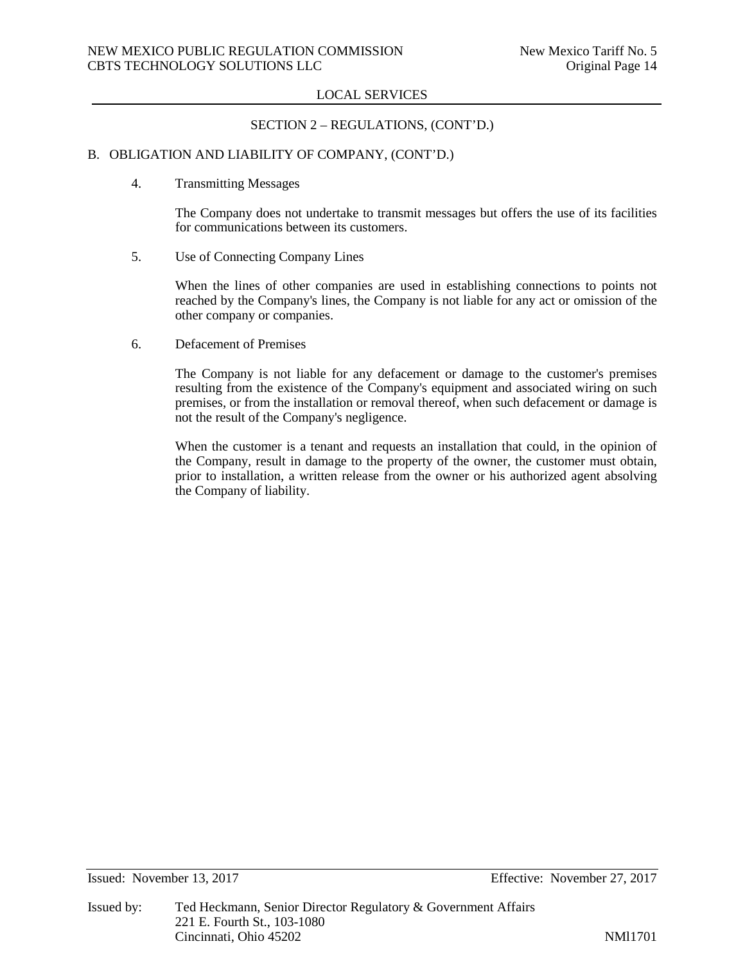## SECTION 2 – REGULATIONS, (CONT'D.)

## B. OBLIGATION AND LIABILITY OF COMPANY, (CONT'D.)

4. Transmitting Messages

The Company does not undertake to transmit messages but offers the use of its facilities for communications between its customers.

5. Use of Connecting Company Lines

When the lines of other companies are used in establishing connections to points not reached by the Company's lines, the Company is not liable for any act or omission of the other company or companies.

6. Defacement of Premises

The Company is not liable for any defacement or damage to the customer's premises resulting from the existence of the Company's equipment and associated wiring on such premises, or from the installation or removal thereof, when such defacement or damage is not the result of the Company's negligence.

When the customer is a tenant and requests an installation that could, in the opinion of the Company, result in damage to the property of the owner, the customer must obtain, prior to installation, a written release from the owner or his authorized agent absolving the Company of liability.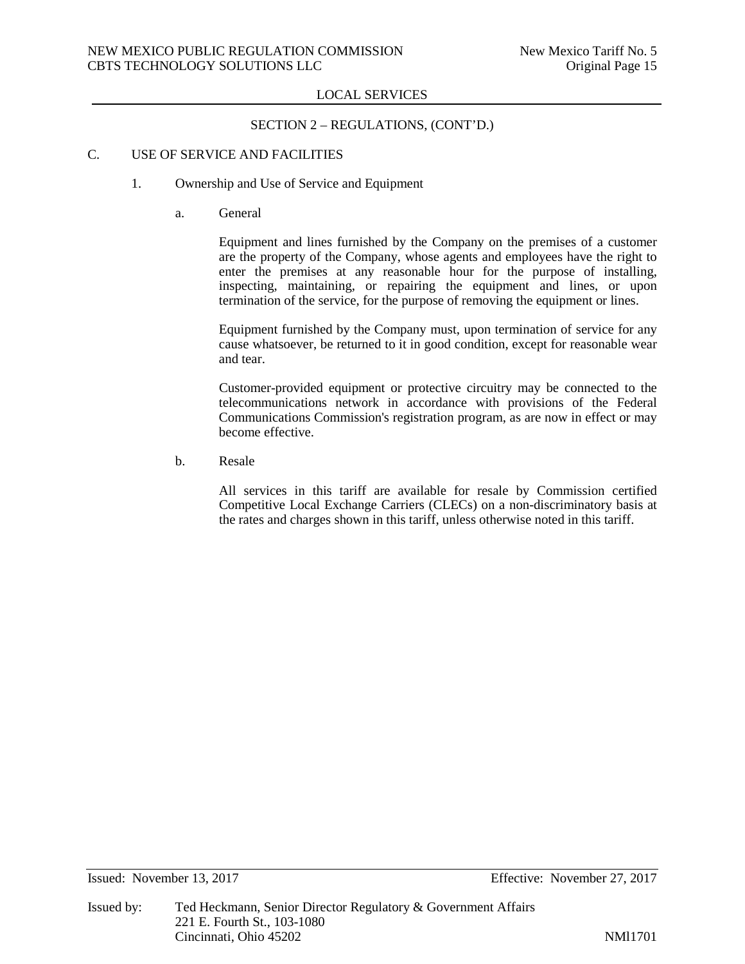## SECTION 2 – REGULATIONS, (CONT'D.)

# C. USE OF SERVICE AND FACILITIES

- 1. Ownership and Use of Service and Equipment
	- a. General

Equipment and lines furnished by the Company on the premises of a customer are the property of the Company, whose agents and employees have the right to enter the premises at any reasonable hour for the purpose of installing, inspecting, maintaining, or repairing the equipment and lines, or upon termination of the service, for the purpose of removing the equipment or lines.

Equipment furnished by the Company must, upon termination of service for any cause whatsoever, be returned to it in good condition, except for reasonable wear and tear.

Customer-provided equipment or protective circuitry may be connected to the telecommunications network in accordance with provisions of the Federal Communications Commission's registration program, as are now in effect or may become effective.

b. Resale

All services in this tariff are available for resale by Commission certified Competitive Local Exchange Carriers (CLECs) on a non-discriminatory basis at the rates and charges shown in this tariff, unless otherwise noted in this tariff.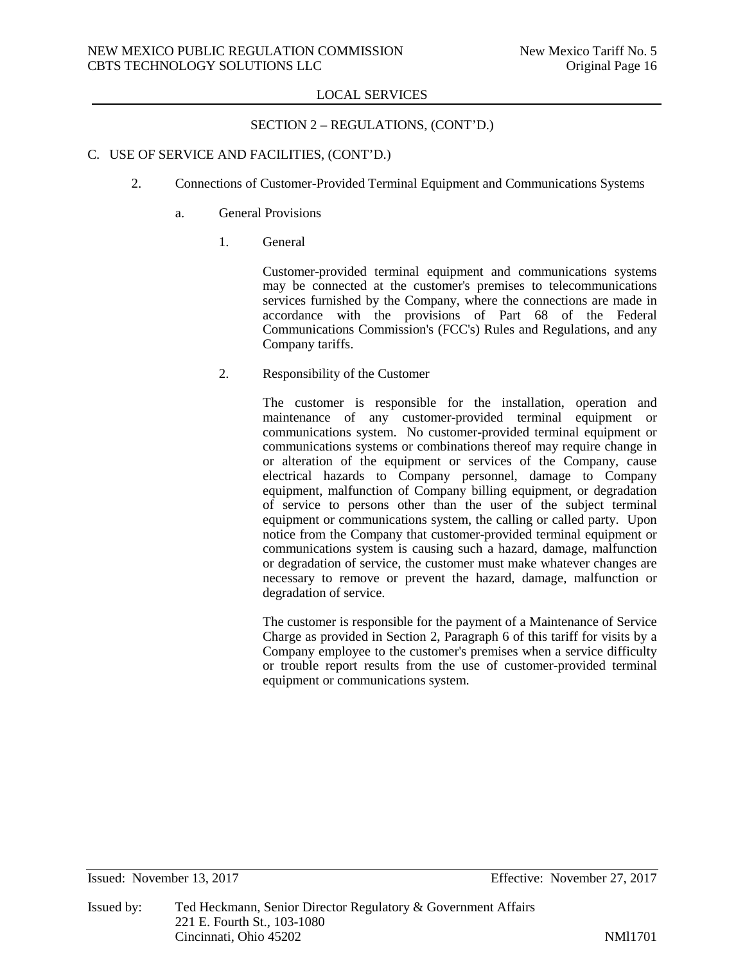# SECTION 2 – REGULATIONS, (CONT'D.)

# C. USE OF SERVICE AND FACILITIES, (CONT'D.)

- 2. Connections of Customer-Provided Terminal Equipment and Communications Systems
	- a. General Provisions
		- 1. General

Customer-provided terminal equipment and communications systems may be connected at the customer's premises to telecommunications services furnished by the Company, where the connections are made in accordance with the provisions of Part 68 of the Federal Communications Commission's (FCC's) Rules and Regulations, and any Company tariffs.

2. Responsibility of the Customer

The customer is responsible for the installation, operation and maintenance of any customer-provided terminal equipment or communications system. No customer-provided terminal equipment or communications systems or combinations thereof may require change in or alteration of the equipment or services of the Company, cause electrical hazards to Company personnel, damage to Company equipment, malfunction of Company billing equipment, or degradation of service to persons other than the user of the subject terminal equipment or communications system, the calling or called party. Upon notice from the Company that customer-provided terminal equipment or communications system is causing such a hazard, damage, malfunction or degradation of service, the customer must make whatever changes are necessary to remove or prevent the hazard, damage, malfunction or degradation of service.

The customer is responsible for the payment of a Maintenance of Service Charge as provided in Section 2, Paragraph 6 of this tariff for visits by a Company employee to the customer's premises when a service difficulty or trouble report results from the use of customer-provided terminal equipment or communications system.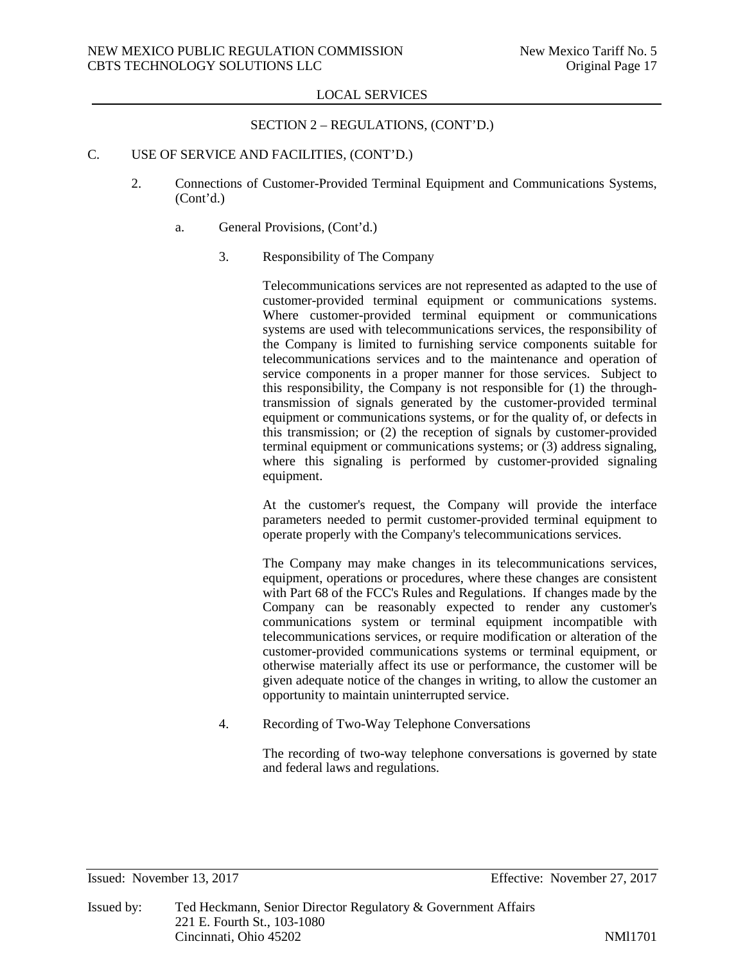# SECTION 2 – REGULATIONS, (CONT'D.)

# C. USE OF SERVICE AND FACILITIES, (CONT'D.)

- 2. Connections of Customer-Provided Terminal Equipment and Communications Systems, (Cont'd.)
	- a. General Provisions, (Cont'd.)
		- 3. Responsibility of The Company

Telecommunications services are not represented as adapted to the use of customer-provided terminal equipment or communications systems. Where customer-provided terminal equipment or communications systems are used with telecommunications services, the responsibility of the Company is limited to furnishing service components suitable for telecommunications services and to the maintenance and operation of service components in a proper manner for those services. Subject to this responsibility, the Company is not responsible for (1) the throughtransmission of signals generated by the customer-provided terminal equipment or communications systems, or for the quality of, or defects in this transmission; or (2) the reception of signals by customer-provided terminal equipment or communications systems; or (3) address signaling, where this signaling is performed by customer-provided signaling equipment.

At the customer's request, the Company will provide the interface parameters needed to permit customer-provided terminal equipment to operate properly with the Company's telecommunications services.

The Company may make changes in its telecommunications services, equipment, operations or procedures, where these changes are consistent with Part 68 of the FCC's Rules and Regulations. If changes made by the Company can be reasonably expected to render any customer's communications system or terminal equipment incompatible with telecommunications services, or require modification or alteration of the customer-provided communications systems or terminal equipment, or otherwise materially affect its use or performance, the customer will be given adequate notice of the changes in writing, to allow the customer an opportunity to maintain uninterrupted service.

4. Recording of Two-Way Telephone Conversations

The recording of two-way telephone conversations is governed by state and federal laws and regulations.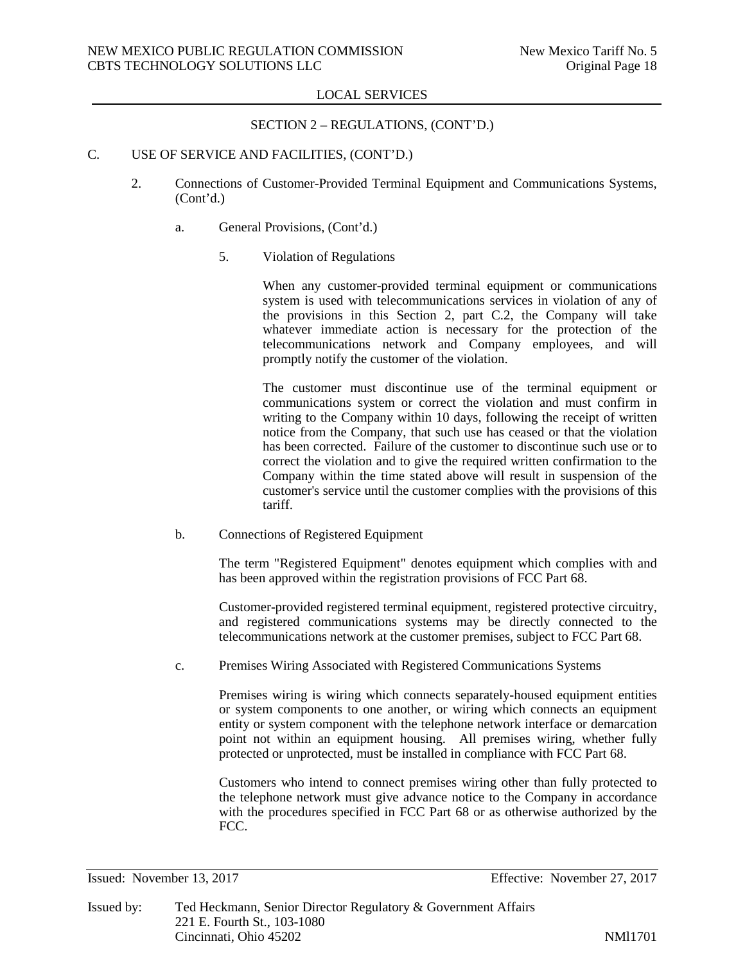## SECTION 2 – REGULATIONS, (CONT'D.)

# C. USE OF SERVICE AND FACILITIES, (CONT'D.)

- 2. Connections of Customer-Provided Terminal Equipment and Communications Systems, (Cont'd.)
	- a. General Provisions, (Cont'd.)
		- 5. Violation of Regulations

When any customer-provided terminal equipment or communications system is used with telecommunications services in violation of any of the provisions in this Section 2, part C.2, the Company will take whatever immediate action is necessary for the protection of the telecommunications network and Company employees, and will promptly notify the customer of the violation.

The customer must discontinue use of the terminal equipment or communications system or correct the violation and must confirm in writing to the Company within 10 days, following the receipt of written notice from the Company, that such use has ceased or that the violation has been corrected. Failure of the customer to discontinue such use or to correct the violation and to give the required written confirmation to the Company within the time stated above will result in suspension of the customer's service until the customer complies with the provisions of this tariff.

b. Connections of Registered Equipment

The term "Registered Equipment" denotes equipment which complies with and has been approved within the registration provisions of FCC Part 68.

Customer-provided registered terminal equipment, registered protective circuitry, and registered communications systems may be directly connected to the telecommunications network at the customer premises, subject to FCC Part 68.

c. Premises Wiring Associated with Registered Communications Systems

Premises wiring is wiring which connects separately-housed equipment entities or system components to one another, or wiring which connects an equipment entity or system component with the telephone network interface or demarcation point not within an equipment housing. All premises wiring, whether fully protected or unprotected, must be installed in compliance with FCC Part 68.

Customers who intend to connect premises wiring other than fully protected to the telephone network must give advance notice to the Company in accordance with the procedures specified in FCC Part 68 or as otherwise authorized by the FCC.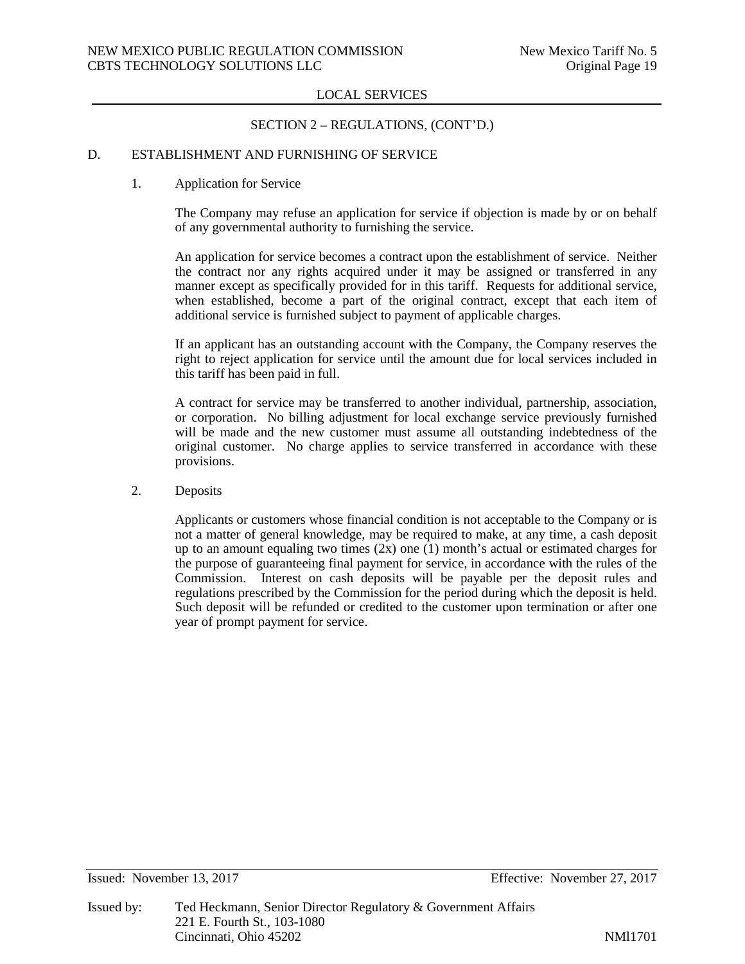## SECTION 2 – REGULATIONS, (CONT'D.)

## D. ESTABLISHMENT AND FURNISHING OF SERVICE

#### 1. Application for Service

The Company may refuse an application for service if objection is made by or on behalf of any governmental authority to furnishing the service.

An application for service becomes a contract upon the establishment of service. Neither the contract nor any rights acquired under it may be assigned or transferred in any manner except as specifically provided for in this tariff. Requests for additional service, when established, become a part of the original contract, except that each item of additional service is furnished subject to payment of applicable charges.

If an applicant has an outstanding account with the Company, the Company reserves the right to reject application for service until the amount due for local services included in this tariff has been paid in full.

A contract for service may be transferred to another individual, partnership, association, or corporation. No billing adjustment for local exchange service previously furnished will be made and the new customer must assume all outstanding indebtedness of the original customer. No charge applies to service transferred in accordance with these provisions.

2. Deposits

Applicants or customers whose financial condition is not acceptable to the Company or is not a matter of general knowledge, may be required to make, at any time, a cash deposit up to an amount equaling two times  $(2x)$  one  $(1)$  month's actual or estimated charges for the purpose of guaranteeing final payment for service, in accordance with the rules of the Commission. Interest on cash deposits will be payable per the deposit rules and regulations prescribed by the Commission for the period during which the deposit is held. Such deposit will be refunded or credited to the customer upon termination or after one year of prompt payment for service.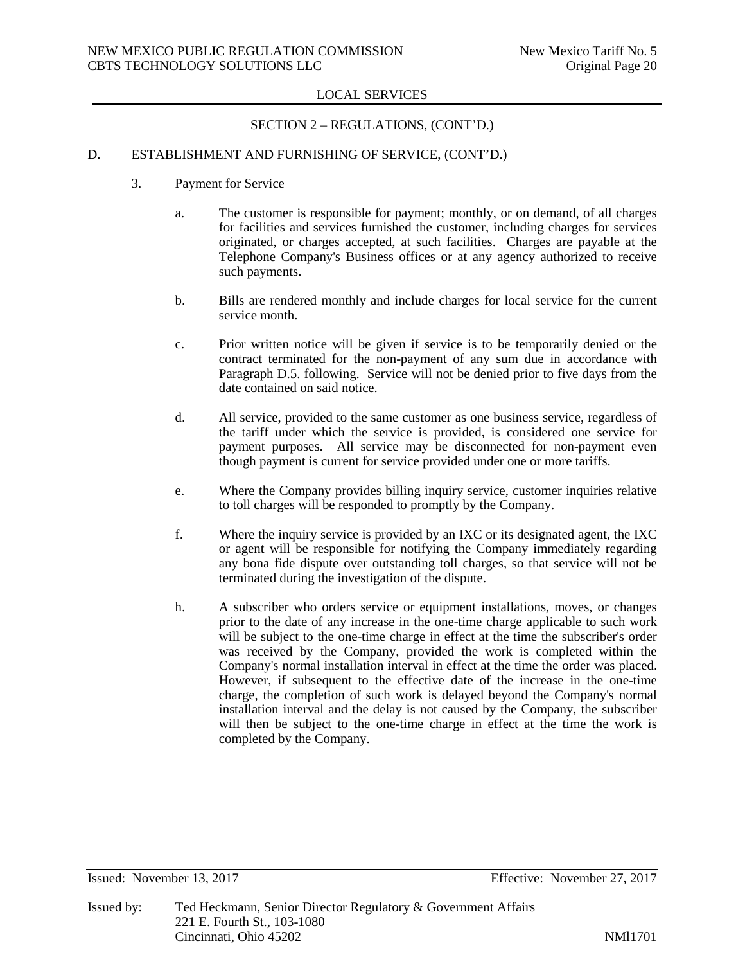# SECTION 2 – REGULATIONS, (CONT'D.)

# D. ESTABLISHMENT AND FURNISHING OF SERVICE, (CONT'D.)

- 3. Payment for Service
	- a. The customer is responsible for payment; monthly, or on demand, of all charges for facilities and services furnished the customer, including charges for services originated, or charges accepted, at such facilities. Charges are payable at the Telephone Company's Business offices or at any agency authorized to receive such payments.
	- b. Bills are rendered monthly and include charges for local service for the current service month.
	- c. Prior written notice will be given if service is to be temporarily denied or the contract terminated for the non-payment of any sum due in accordance with Paragraph D.5. following. Service will not be denied prior to five days from the date contained on said notice.
	- d. All service, provided to the same customer as one business service, regardless of the tariff under which the service is provided, is considered one service for payment purposes. All service may be disconnected for non-payment even though payment is current for service provided under one or more tariffs.
	- e. Where the Company provides billing inquiry service, customer inquiries relative to toll charges will be responded to promptly by the Company.
	- f. Where the inquiry service is provided by an IXC or its designated agent, the IXC or agent will be responsible for notifying the Company immediately regarding any bona fide dispute over outstanding toll charges, so that service will not be terminated during the investigation of the dispute.
	- h. A subscriber who orders service or equipment installations, moves, or changes prior to the date of any increase in the one-time charge applicable to such work will be subject to the one-time charge in effect at the time the subscriber's order was received by the Company, provided the work is completed within the Company's normal installation interval in effect at the time the order was placed. However, if subsequent to the effective date of the increase in the one-time charge, the completion of such work is delayed beyond the Company's normal installation interval and the delay is not caused by the Company, the subscriber will then be subject to the one-time charge in effect at the time the work is completed by the Company.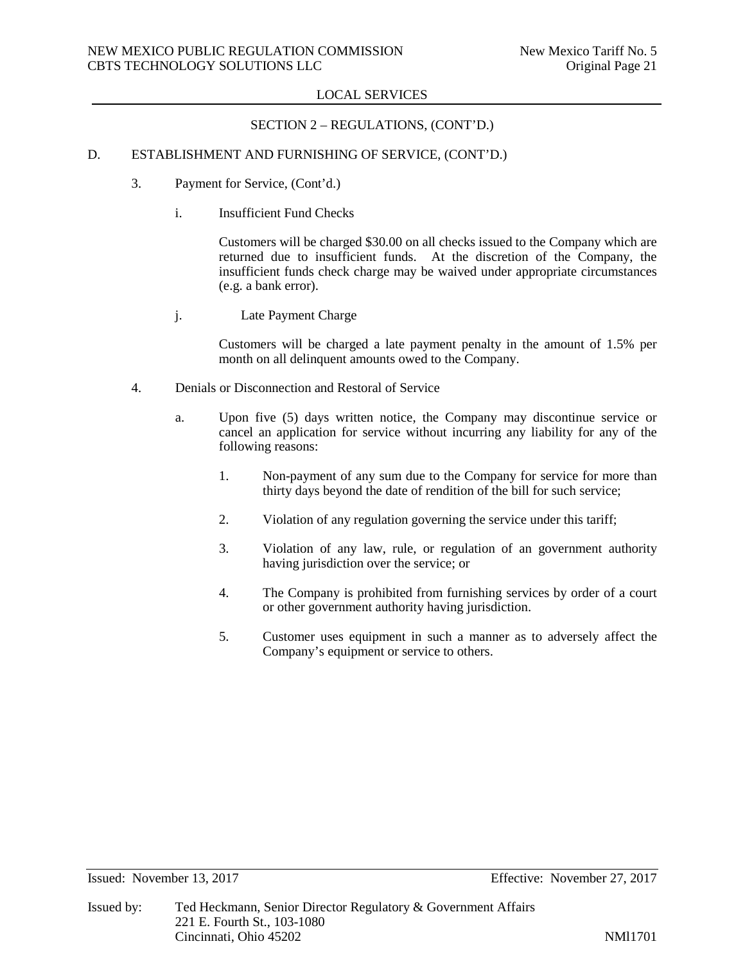## SECTION 2 – REGULATIONS, (CONT'D.)

# D. ESTABLISHMENT AND FURNISHING OF SERVICE, (CONT'D.)

- 3. Payment for Service, (Cont'd.)
	- i. Insufficient Fund Checks

Customers will be charged \$30.00 on all checks issued to the Company which are returned due to insufficient funds. At the discretion of the Company, the insufficient funds check charge may be waived under appropriate circumstances (e.g. a bank error).

j. Late Payment Charge

Customers will be charged a late payment penalty in the amount of 1.5% per month on all delinquent amounts owed to the Company.

- 4. Denials or Disconnection and Restoral of Service
	- a. Upon five (5) days written notice, the Company may discontinue service or cancel an application for service without incurring any liability for any of the following reasons:
		- 1. Non-payment of any sum due to the Company for service for more than thirty days beyond the date of rendition of the bill for such service;
		- 2. Violation of any regulation governing the service under this tariff;
		- 3. Violation of any law, rule, or regulation of an government authority having jurisdiction over the service; or
		- 4. The Company is prohibited from furnishing services by order of a court or other government authority having jurisdiction.
		- 5. Customer uses equipment in such a manner as to adversely affect the Company's equipment or service to others.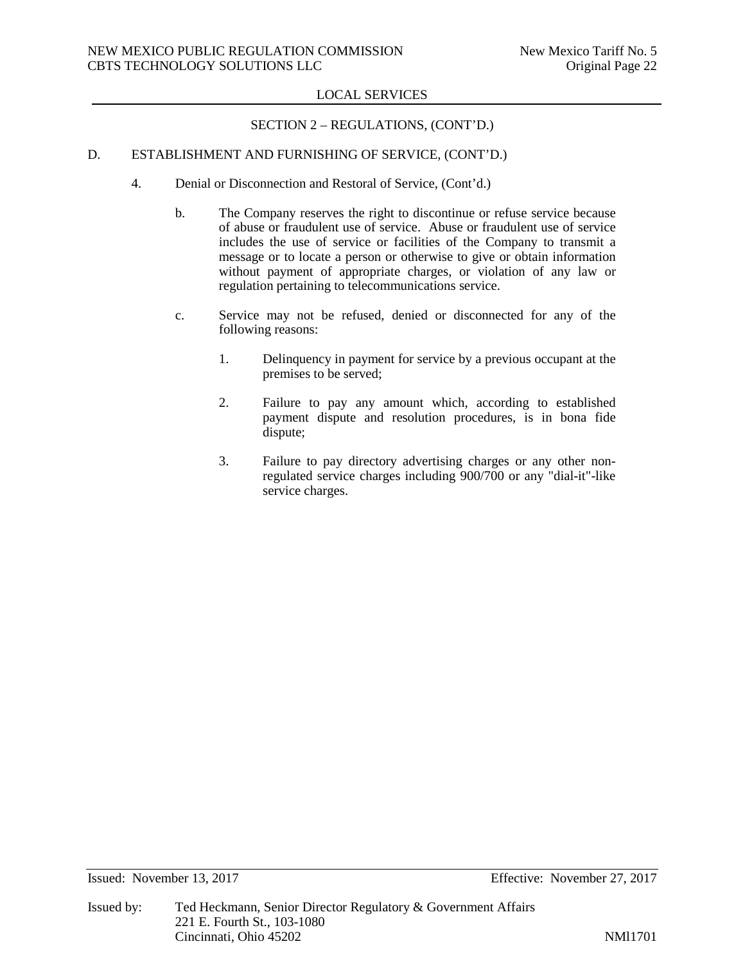## SECTION 2 – REGULATIONS, (CONT'D.)

# D. ESTABLISHMENT AND FURNISHING OF SERVICE, (CONT'D.)

- 4. Denial or Disconnection and Restoral of Service, (Cont'd.)
	- b. The Company reserves the right to discontinue or refuse service because of abuse or fraudulent use of service. Abuse or fraudulent use of service includes the use of service or facilities of the Company to transmit a message or to locate a person or otherwise to give or obtain information without payment of appropriate charges, or violation of any law or regulation pertaining to telecommunications service.
	- c. Service may not be refused, denied or disconnected for any of the following reasons:
		- 1. Delinquency in payment for service by a previous occupant at the premises to be served;
		- 2. Failure to pay any amount which, according to established payment dispute and resolution procedures, is in bona fide dispute;
		- 3. Failure to pay directory advertising charges or any other nonregulated service charges including 900/700 or any "dial-it"-like service charges.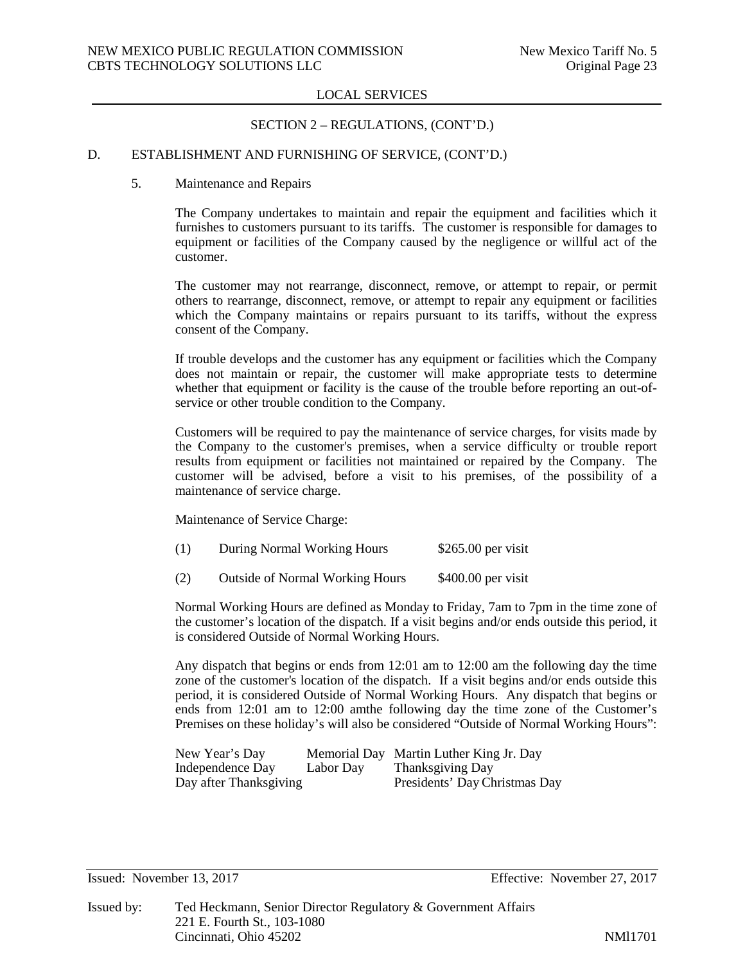## SECTION 2 – REGULATIONS, (CONT'D.)

## D. ESTABLISHMENT AND FURNISHING OF SERVICE, (CONT'D.)

#### 5. Maintenance and Repairs

The Company undertakes to maintain and repair the equipment and facilities which it furnishes to customers pursuant to its tariffs. The customer is responsible for damages to equipment or facilities of the Company caused by the negligence or willful act of the customer.

The customer may not rearrange, disconnect, remove, or attempt to repair, or permit others to rearrange, disconnect, remove, or attempt to repair any equipment or facilities which the Company maintains or repairs pursuant to its tariffs, without the express consent of the Company.

If trouble develops and the customer has any equipment or facilities which the Company does not maintain or repair, the customer will make appropriate tests to determine whether that equipment or facility is the cause of the trouble before reporting an out-ofservice or other trouble condition to the Company.

Customers will be required to pay the maintenance of service charges, for visits made by the Company to the customer's premises, when a service difficulty or trouble report results from equipment or facilities not maintained or repaired by the Company. The customer will be advised, before a visit to his premises, of the possibility of a maintenance of service charge.

Maintenance of Service Charge:

| (1) | During Normal Working Hours | $$265.00$ per visit |
|-----|-----------------------------|---------------------|
|-----|-----------------------------|---------------------|

(2) Outside of Normal Working Hours \$400.00 per visit

Normal Working Hours are defined as Monday to Friday, 7am to 7pm in the time zone of the customer's location of the dispatch. If a visit begins and/or ends outside this period, it is considered Outside of Normal Working Hours.

Any dispatch that begins or ends from 12:01 am to 12:00 am the following day the time zone of the customer's location of the dispatch. If a visit begins and/or ends outside this period, it is considered Outside of Normal Working Hours. Any dispatch that begins or ends from 12:01 am to 12:00 amthe following day the time zone of the Customer's Premises on these holiday's will also be considered "Outside of Normal Working Hours":

| New Year's Day         |           | Memorial Day Martin Luther King Jr. Day |
|------------------------|-----------|-----------------------------------------|
| Independence Day       | Labor Dav | Thanksgiving Day                        |
| Day after Thanksgiving |           | Presidents' Day Christmas Day           |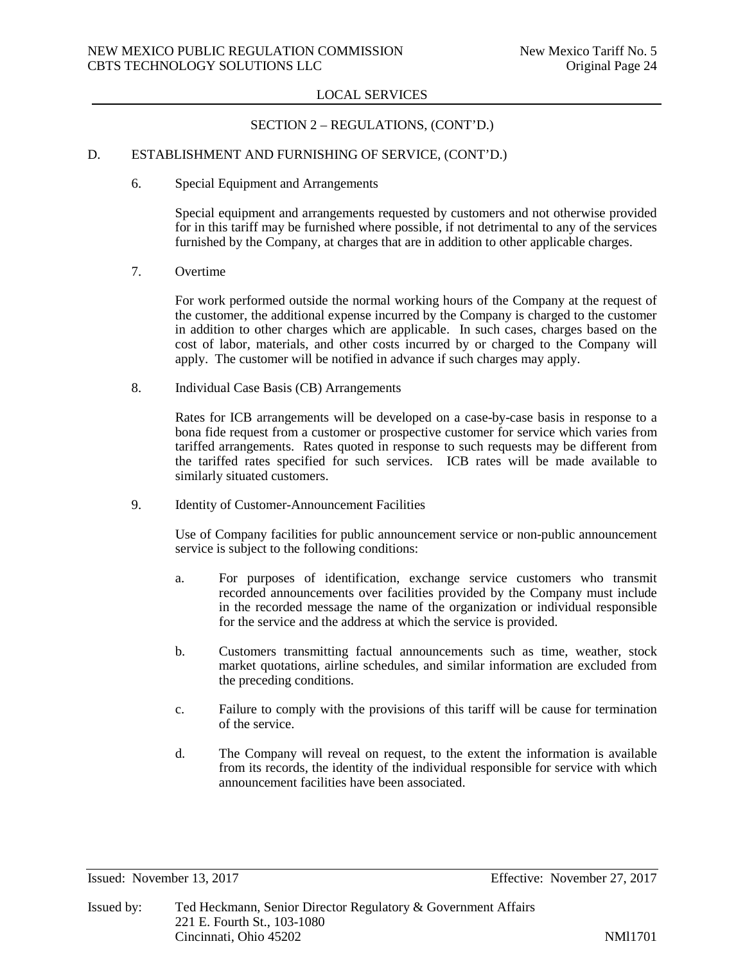# SECTION 2 – REGULATIONS, (CONT'D.)

# D. ESTABLISHMENT AND FURNISHING OF SERVICE, (CONT'D.)

6. Special Equipment and Arrangements

Special equipment and arrangements requested by customers and not otherwise provided for in this tariff may be furnished where possible, if not detrimental to any of the services furnished by the Company, at charges that are in addition to other applicable charges.

7. Overtime

For work performed outside the normal working hours of the Company at the request of the customer, the additional expense incurred by the Company is charged to the customer in addition to other charges which are applicable. In such cases, charges based on the cost of labor, materials, and other costs incurred by or charged to the Company will apply. The customer will be notified in advance if such charges may apply.

8. Individual Case Basis (CB) Arrangements

Rates for ICB arrangements will be developed on a case-by-case basis in response to a bona fide request from a customer or prospective customer for service which varies from tariffed arrangements. Rates quoted in response to such requests may be different from the tariffed rates specified for such services. ICB rates will be made available to similarly situated customers.

9. Identity of Customer-Announcement Facilities

Use of Company facilities for public announcement service or non-public announcement service is subject to the following conditions:

- a. For purposes of identification, exchange service customers who transmit recorded announcements over facilities provided by the Company must include in the recorded message the name of the organization or individual responsible for the service and the address at which the service is provided.
- b. Customers transmitting factual announcements such as time, weather, stock market quotations, airline schedules, and similar information are excluded from the preceding conditions.
- c. Failure to comply with the provisions of this tariff will be cause for termination of the service.
- d. The Company will reveal on request, to the extent the information is available from its records, the identity of the individual responsible for service with which announcement facilities have been associated.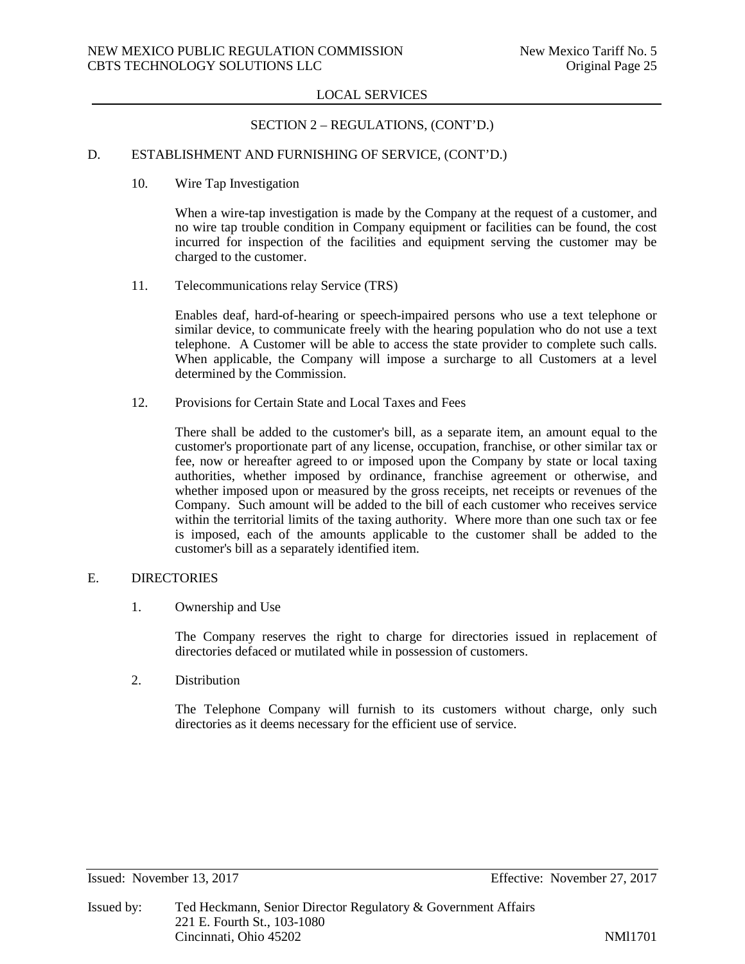## SECTION 2 – REGULATIONS, (CONT'D.)

## D. ESTABLISHMENT AND FURNISHING OF SERVICE, (CONT'D.)

10. Wire Tap Investigation

When a wire-tap investigation is made by the Company at the request of a customer, and no wire tap trouble condition in Company equipment or facilities can be found, the cost incurred for inspection of the facilities and equipment serving the customer may be charged to the customer.

11. Telecommunications relay Service (TRS)

Enables deaf, hard-of-hearing or speech-impaired persons who use a text telephone or similar device, to communicate freely with the hearing population who do not use a text telephone. A Customer will be able to access the state provider to complete such calls. When applicable, the Company will impose a surcharge to all Customers at a level determined by the Commission.

12. Provisions for Certain State and Local Taxes and Fees

There shall be added to the customer's bill, as a separate item, an amount equal to the customer's proportionate part of any license, occupation, franchise, or other similar tax or fee, now or hereafter agreed to or imposed upon the Company by state or local taxing authorities, whether imposed by ordinance, franchise agreement or otherwise, and whether imposed upon or measured by the gross receipts, net receipts or revenues of the Company. Such amount will be added to the bill of each customer who receives service within the territorial limits of the taxing authority. Where more than one such tax or fee is imposed, each of the amounts applicable to the customer shall be added to the customer's bill as a separately identified item.

## E. DIRECTORIES

1. Ownership and Use

The Company reserves the right to charge for directories issued in replacement of directories defaced or mutilated while in possession of customers.

2. Distribution

The Telephone Company will furnish to its customers without charge, only such directories as it deems necessary for the efficient use of service.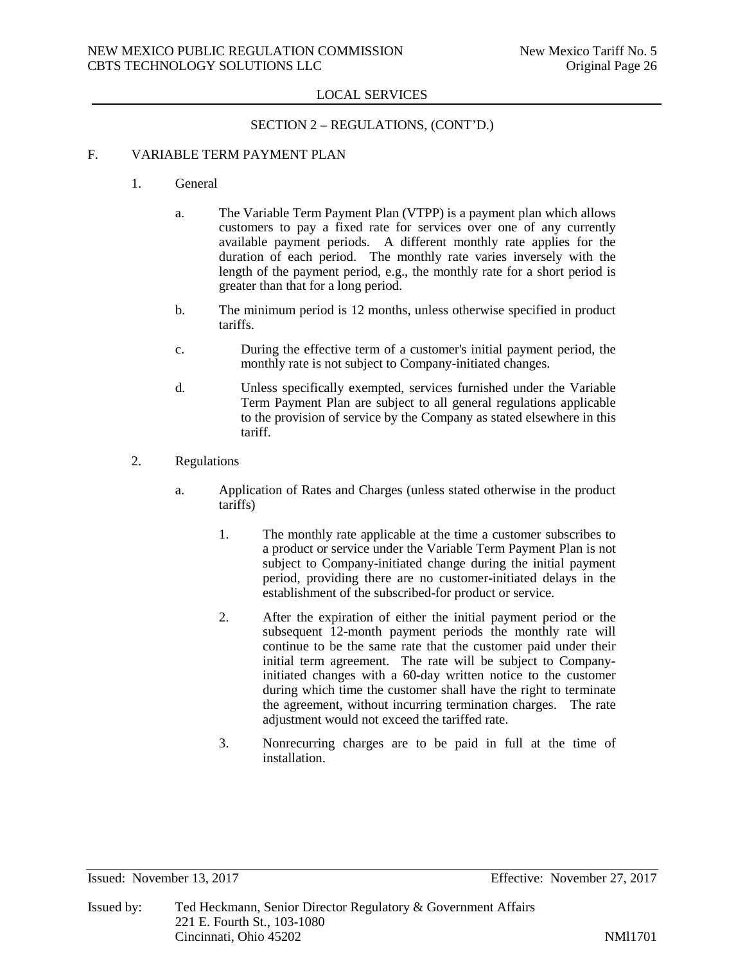# SECTION 2 – REGULATIONS, (CONT'D.)

# F. VARIABLE TERM PAYMENT PLAN

- 1. General
	- a. The Variable Term Payment Plan (VTPP) is a payment plan which allows customers to pay a fixed rate for services over one of any currently available payment periods. A different monthly rate applies for the duration of each period. The monthly rate varies inversely with the length of the payment period, e.g., the monthly rate for a short period is greater than that for a long period.
	- b. The minimum period is 12 months, unless otherwise specified in product tariffs.
	- c. During the effective term of a customer's initial payment period, the monthly rate is not subject to Company-initiated changes.
	- d. Unless specifically exempted, services furnished under the Variable Term Payment Plan are subject to all general regulations applicable to the provision of service by the Company as stated elsewhere in this tariff.
- 2. Regulations
	- a. Application of Rates and Charges (unless stated otherwise in the product tariffs)
		- 1. The monthly rate applicable at the time a customer subscribes to a product or service under the Variable Term Payment Plan is not subject to Company-initiated change during the initial payment period, providing there are no customer-initiated delays in the establishment of the subscribed-for product or service.
		- 2. After the expiration of either the initial payment period or the subsequent 12-month payment periods the monthly rate will continue to be the same rate that the customer paid under their initial term agreement. The rate will be subject to Companyinitiated changes with a 60-day written notice to the customer during which time the customer shall have the right to terminate the agreement, without incurring termination charges. The rate adjustment would not exceed the tariffed rate.
		- 3. Nonrecurring charges are to be paid in full at the time of installation.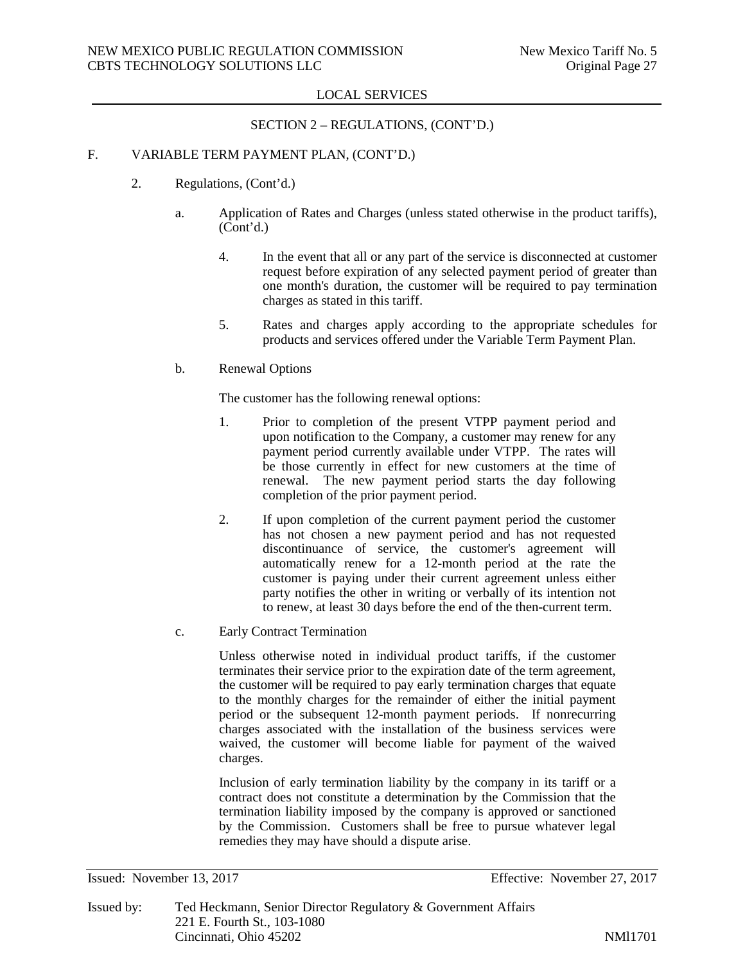## SECTION 2 – REGULATIONS, (CONT'D.)

# F. VARIABLE TERM PAYMENT PLAN, (CONT'D.)

- 2. Regulations, (Cont'd.)
	- a. Application of Rates and Charges (unless stated otherwise in the product tariffs), (Cont'd.)
		- 4. In the event that all or any part of the service is disconnected at customer request before expiration of any selected payment period of greater than one month's duration, the customer will be required to pay termination charges as stated in this tariff.
		- 5. Rates and charges apply according to the appropriate schedules for products and services offered under the Variable Term Payment Plan.
	- b. Renewal Options

The customer has the following renewal options:

- 1. Prior to completion of the present VTPP payment period and upon notification to the Company, a customer may renew for any payment period currently available under VTPP. The rates will be those currently in effect for new customers at the time of renewal. The new payment period starts the day following completion of the prior payment period.
- 2. If upon completion of the current payment period the customer has not chosen a new payment period and has not requested discontinuance of service, the customer's agreement will automatically renew for a 12-month period at the rate the customer is paying under their current agreement unless either party notifies the other in writing or verbally of its intention not to renew, at least 30 days before the end of the then-current term.
- c. Early Contract Termination

Unless otherwise noted in individual product tariffs, if the customer terminates their service prior to the expiration date of the term agreement, the customer will be required to pay early termination charges that equate to the monthly charges for the remainder of either the initial payment period or the subsequent 12-month payment periods. If nonrecurring charges associated with the installation of the business services were waived, the customer will become liable for payment of the waived charges.

Inclusion of early termination liability by the company in its tariff or a contract does not constitute a determination by the Commission that the termination liability imposed by the company is approved or sanctioned by the Commission. Customers shall be free to pursue whatever legal remedies they may have should a dispute arise.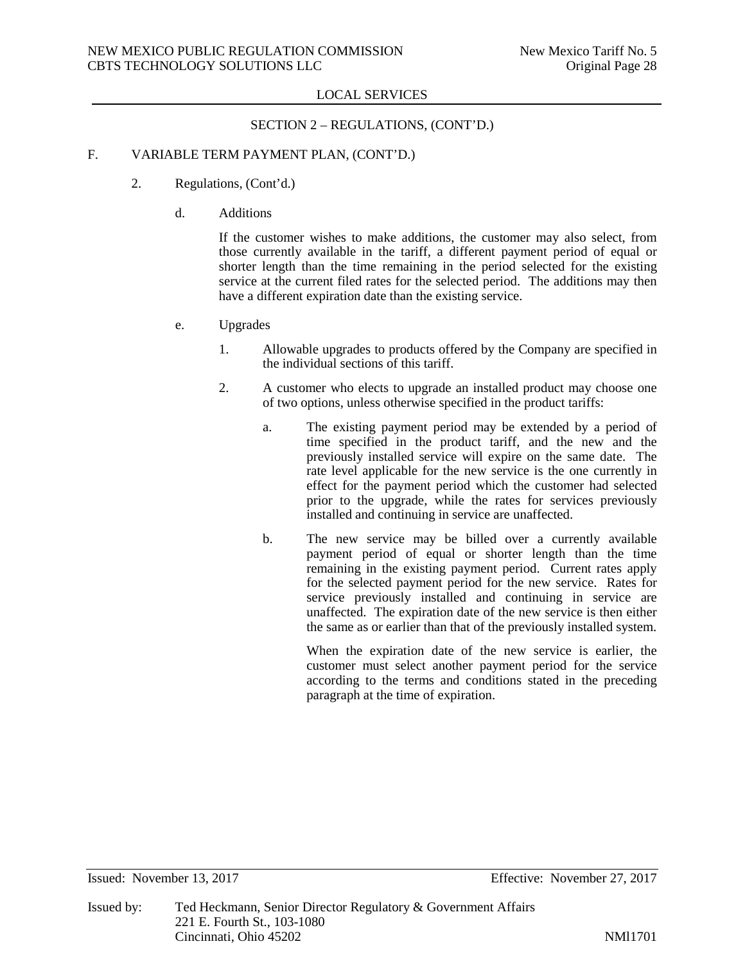# SECTION 2 – REGULATIONS, (CONT'D.)

# F. VARIABLE TERM PAYMENT PLAN, (CONT'D.)

- 2. Regulations, (Cont'd.)
	- d. Additions

If the customer wishes to make additions, the customer may also select, from those currently available in the tariff, a different payment period of equal or shorter length than the time remaining in the period selected for the existing service at the current filed rates for the selected period. The additions may then have a different expiration date than the existing service.

- e. Upgrades
	- 1. Allowable upgrades to products offered by the Company are specified in the individual sections of this tariff.
	- 2. A customer who elects to upgrade an installed product may choose one of two options, unless otherwise specified in the product tariffs:
		- a. The existing payment period may be extended by a period of time specified in the product tariff, and the new and the previously installed service will expire on the same date. The rate level applicable for the new service is the one currently in effect for the payment period which the customer had selected prior to the upgrade, while the rates for services previously installed and continuing in service are unaffected.
		- b. The new service may be billed over a currently available payment period of equal or shorter length than the time remaining in the existing payment period. Current rates apply for the selected payment period for the new service. Rates for service previously installed and continuing in service are unaffected. The expiration date of the new service is then either the same as or earlier than that of the previously installed system.

When the expiration date of the new service is earlier, the customer must select another payment period for the service according to the terms and conditions stated in the preceding paragraph at the time of expiration.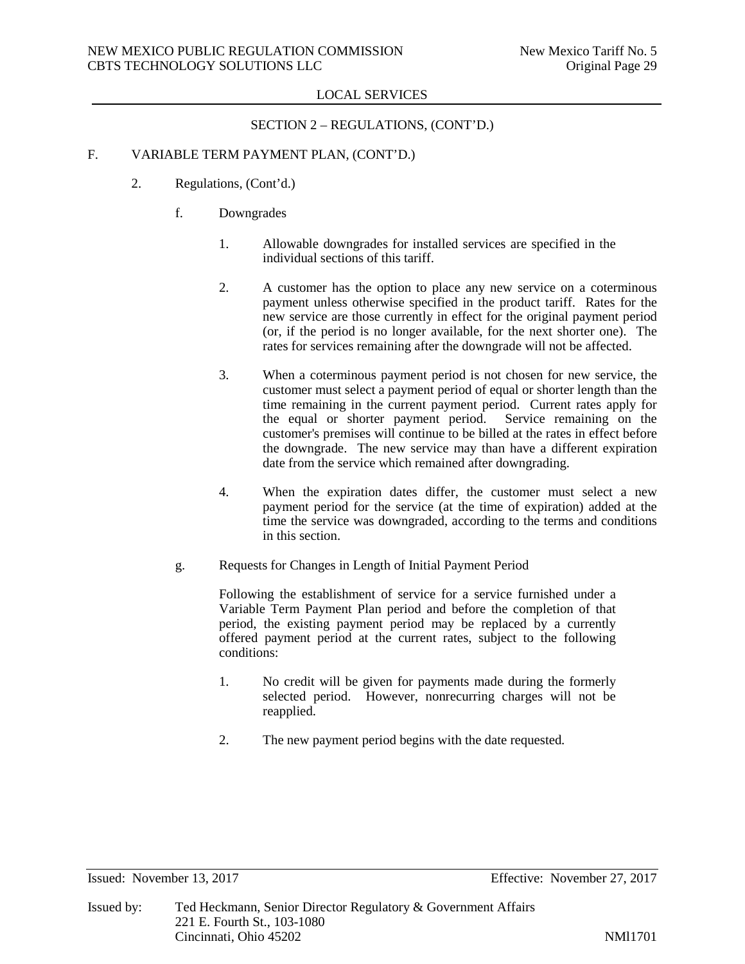# SECTION 2 – REGULATIONS, (CONT'D.)

# F. VARIABLE TERM PAYMENT PLAN, (CONT'D.)

- 2. Regulations, (Cont'd.)
	- f. Downgrades
		- 1. Allowable downgrades for installed services are specified in the individual sections of this tariff.
		- 2. A customer has the option to place any new service on a coterminous payment unless otherwise specified in the product tariff. Rates for the new service are those currently in effect for the original payment period (or, if the period is no longer available, for the next shorter one). The rates for services remaining after the downgrade will not be affected.
		- 3. When a coterminous payment period is not chosen for new service, the customer must select a payment period of equal or shorter length than the time remaining in the current payment period. Current rates apply for the equal or shorter payment period. Service remaining on the the equal or shorter payment period. customer's premises will continue to be billed at the rates in effect before the downgrade. The new service may than have a different expiration date from the service which remained after downgrading.
		- 4. When the expiration dates differ, the customer must select a new payment period for the service (at the time of expiration) added at the time the service was downgraded, according to the terms and conditions in this section.
	- g. Requests for Changes in Length of Initial Payment Period

Following the establishment of service for a service furnished under a Variable Term Payment Plan period and before the completion of that period, the existing payment period may be replaced by a currently offered payment period at the current rates, subject to the following conditions:

- 1. No credit will be given for payments made during the formerly selected period. However, nonrecurring charges will not be reapplied.
- 2. The new payment period begins with the date requested.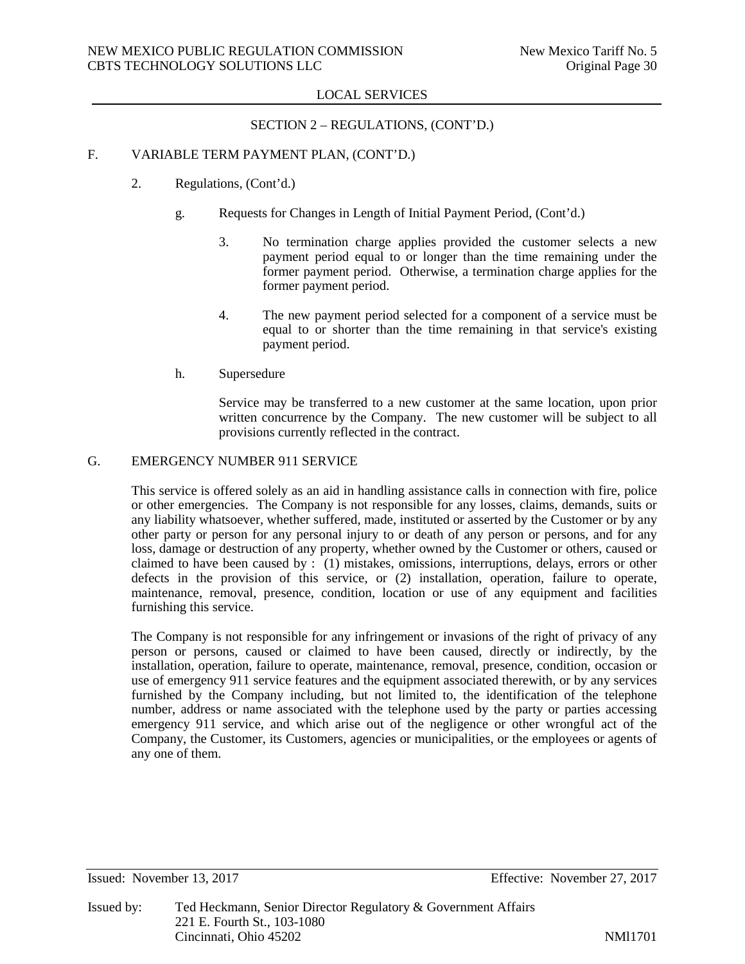# SECTION 2 – REGULATIONS, (CONT'D.)

# F. VARIABLE TERM PAYMENT PLAN, (CONT'D.)

- 2. Regulations, (Cont'd.)
	- g. Requests for Changes in Length of Initial Payment Period, (Cont'd.)
		- 3. No termination charge applies provided the customer selects a new payment period equal to or longer than the time remaining under the former payment period. Otherwise, a termination charge applies for the former payment period.
		- 4. The new payment period selected for a component of a service must be equal to or shorter than the time remaining in that service's existing payment period.
	- h. Supersedure

Service may be transferred to a new customer at the same location, upon prior written concurrence by the Company. The new customer will be subject to all provisions currently reflected in the contract.

## G. EMERGENCY NUMBER 911 SERVICE

This service is offered solely as an aid in handling assistance calls in connection with fire, police or other emergencies. The Company is not responsible for any losses, claims, demands, suits or any liability whatsoever, whether suffered, made, instituted or asserted by the Customer or by any other party or person for any personal injury to or death of any person or persons, and for any loss, damage or destruction of any property, whether owned by the Customer or others, caused or claimed to have been caused by : (1) mistakes, omissions, interruptions, delays, errors or other defects in the provision of this service, or (2) installation, operation, failure to operate, maintenance, removal, presence, condition, location or use of any equipment and facilities furnishing this service.

The Company is not responsible for any infringement or invasions of the right of privacy of any person or persons, caused or claimed to have been caused, directly or indirectly, by the installation, operation, failure to operate, maintenance, removal, presence, condition, occasion or use of emergency 911 service features and the equipment associated therewith, or by any services furnished by the Company including, but not limited to, the identification of the telephone number, address or name associated with the telephone used by the party or parties accessing emergency 911 service, and which arise out of the negligence or other wrongful act of the Company, the Customer, its Customers, agencies or municipalities, or the employees or agents of any one of them.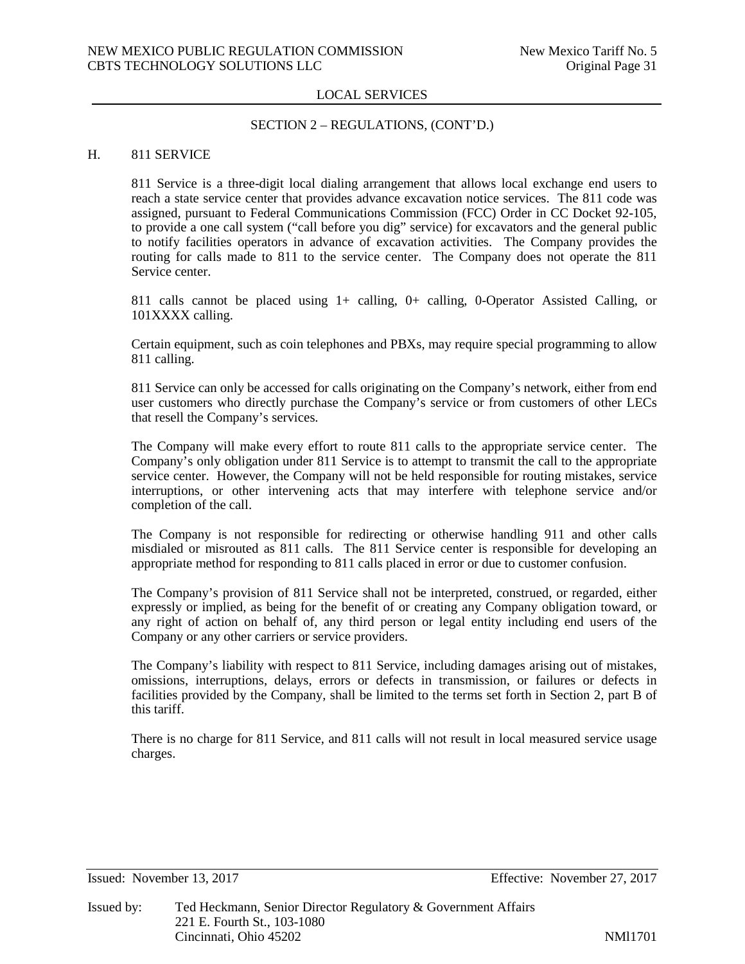## SECTION 2 – REGULATIONS, (CONT'D.)

## H. 811 SERVICE

811 Service is a three-digit local dialing arrangement that allows local exchange end users to reach a state service center that provides advance excavation notice services. The 811 code was assigned, pursuant to Federal Communications Commission (FCC) Order in CC Docket 92-105, to provide a one call system ("call before you dig" service) for excavators and the general public to notify facilities operators in advance of excavation activities. The Company provides the routing for calls made to 811 to the service center. The Company does not operate the 811 Service center.

811 calls cannot be placed using 1+ calling, 0+ calling, 0-Operator Assisted Calling, or 101XXXX calling.

Certain equipment, such as coin telephones and PBXs, may require special programming to allow 811 calling.

811 Service can only be accessed for calls originating on the Company's network, either from end user customers who directly purchase the Company's service or from customers of other LECs that resell the Company's services.

The Company will make every effort to route 811 calls to the appropriate service center. The Company's only obligation under 811 Service is to attempt to transmit the call to the appropriate service center. However, the Company will not be held responsible for routing mistakes, service interruptions, or other intervening acts that may interfere with telephone service and/or completion of the call.

The Company is not responsible for redirecting or otherwise handling 911 and other calls misdialed or misrouted as 811 calls. The 811 Service center is responsible for developing an appropriate method for responding to 811 calls placed in error or due to customer confusion.

The Company's provision of 811 Service shall not be interpreted, construed, or regarded, either expressly or implied, as being for the benefit of or creating any Company obligation toward, or any right of action on behalf of, any third person or legal entity including end users of the Company or any other carriers or service providers.

The Company's liability with respect to 811 Service, including damages arising out of mistakes, omissions, interruptions, delays, errors or defects in transmission, or failures or defects in facilities provided by the Company, shall be limited to the terms set forth in Section 2, part B of this tariff.

There is no charge for 811 Service, and 811 calls will not result in local measured service usage charges.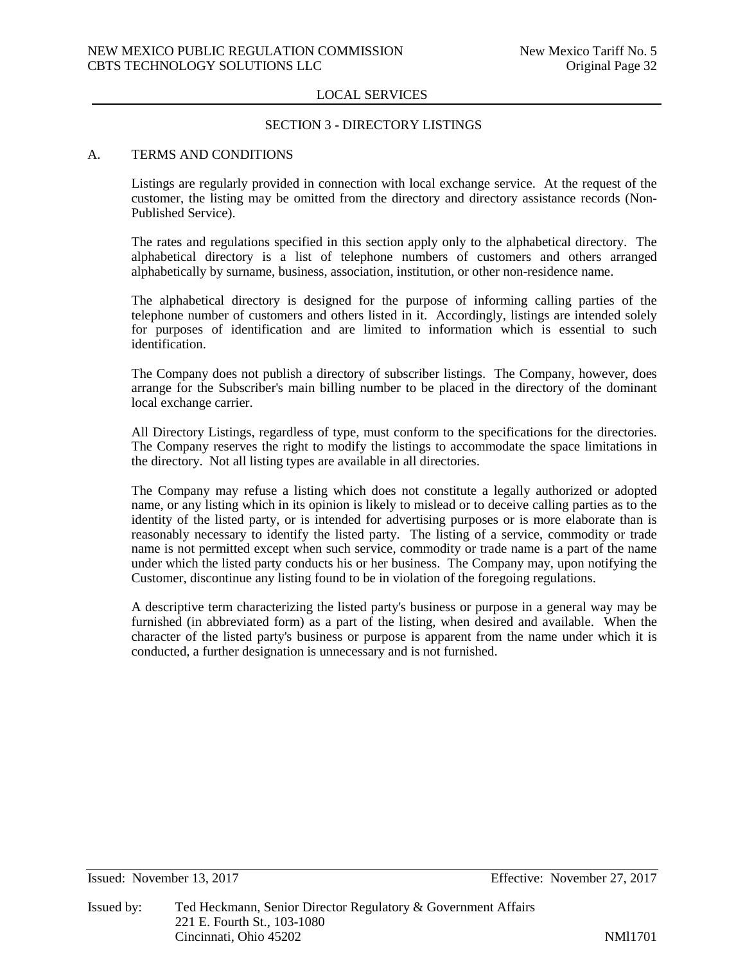## SECTION 3 - DIRECTORY LISTINGS

#### A. TERMS AND CONDITIONS

Listings are regularly provided in connection with local exchange service. At the request of the customer, the listing may be omitted from the directory and directory assistance records (Non-Published Service).

The rates and regulations specified in this section apply only to the alphabetical directory. The alphabetical directory is a list of telephone numbers of customers and others arranged alphabetically by surname, business, association, institution, or other non-residence name.

The alphabetical directory is designed for the purpose of informing calling parties of the telephone number of customers and others listed in it. Accordingly, listings are intended solely for purposes of identification and are limited to information which is essential to such identification.

The Company does not publish a directory of subscriber listings. The Company, however, does arrange for the Subscriber's main billing number to be placed in the directory of the dominant local exchange carrier.

All Directory Listings, regardless of type, must conform to the specifications for the directories. The Company reserves the right to modify the listings to accommodate the space limitations in the directory. Not all listing types are available in all directories.

The Company may refuse a listing which does not constitute a legally authorized or adopted name, or any listing which in its opinion is likely to mislead or to deceive calling parties as to the identity of the listed party, or is intended for advertising purposes or is more elaborate than is reasonably necessary to identify the listed party. The listing of a service, commodity or trade name is not permitted except when such service, commodity or trade name is a part of the name under which the listed party conducts his or her business. The Company may, upon notifying the Customer, discontinue any listing found to be in violation of the foregoing regulations.

A descriptive term characterizing the listed party's business or purpose in a general way may be furnished (in abbreviated form) as a part of the listing, when desired and available. When the character of the listed party's business or purpose is apparent from the name under which it is conducted, a further designation is unnecessary and is not furnished.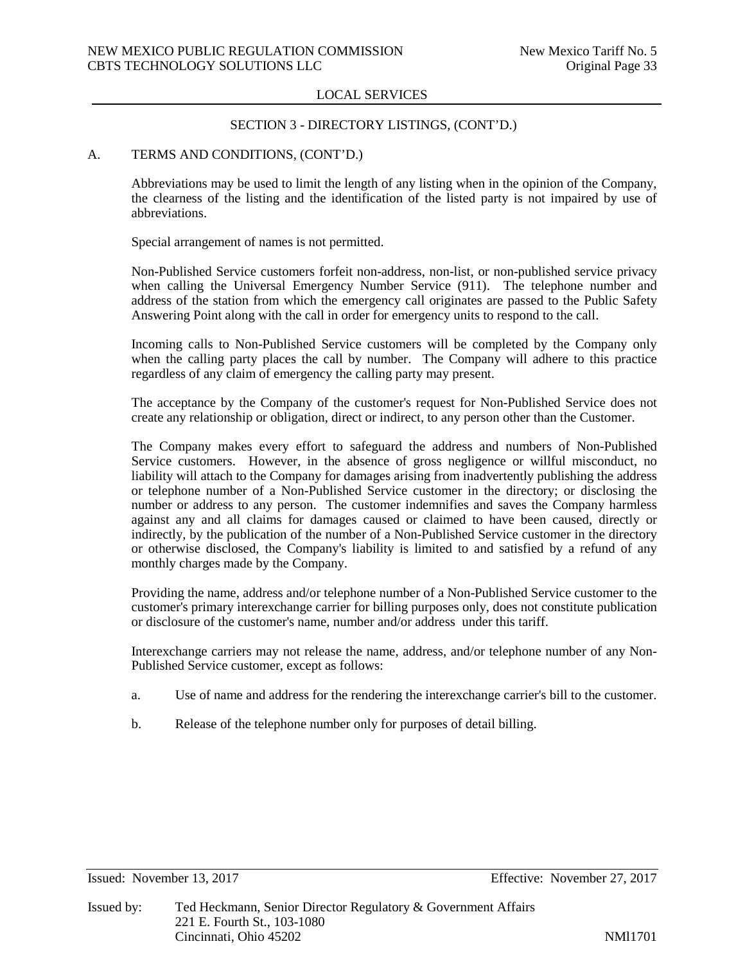## SECTION 3 - DIRECTORY LISTINGS, (CONT'D.)

## A. TERMS AND CONDITIONS, (CONT'D.)

Abbreviations may be used to limit the length of any listing when in the opinion of the Company, the clearness of the listing and the identification of the listed party is not impaired by use of abbreviations.

Special arrangement of names is not permitted.

Non-Published Service customers forfeit non-address, non-list, or non-published service privacy when calling the Universal Emergency Number Service (911). The telephone number and address of the station from which the emergency call originates are passed to the Public Safety Answering Point along with the call in order for emergency units to respond to the call.

Incoming calls to Non-Published Service customers will be completed by the Company only when the calling party places the call by number. The Company will adhere to this practice regardless of any claim of emergency the calling party may present.

The acceptance by the Company of the customer's request for Non-Published Service does not create any relationship or obligation, direct or indirect, to any person other than the Customer.

The Company makes every effort to safeguard the address and numbers of Non-Published Service customers. However, in the absence of gross negligence or willful misconduct, no liability will attach to the Company for damages arising from inadvertently publishing the address or telephone number of a Non-Published Service customer in the directory; or disclosing the number or address to any person. The customer indemnifies and saves the Company harmless against any and all claims for damages caused or claimed to have been caused, directly or indirectly, by the publication of the number of a Non-Published Service customer in the directory or otherwise disclosed, the Company's liability is limited to and satisfied by a refund of any monthly charges made by the Company.

Providing the name, address and/or telephone number of a Non-Published Service customer to the customer's primary interexchange carrier for billing purposes only, does not constitute publication or disclosure of the customer's name, number and/or address under this tariff.

Interexchange carriers may not release the name, address, and/or telephone number of any Non-Published Service customer, except as follows:

- a. Use of name and address for the rendering the interexchange carrier's bill to the customer.
- b. Release of the telephone number only for purposes of detail billing.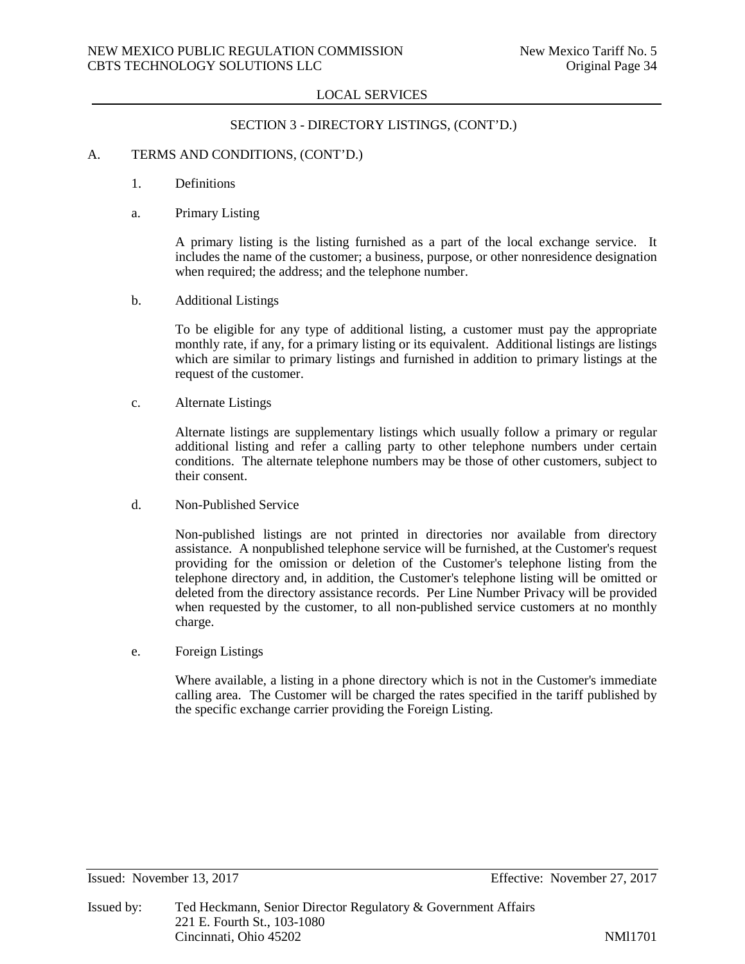## SECTION 3 - DIRECTORY LISTINGS, (CONT'D.)

## A. TERMS AND CONDITIONS, (CONT'D.)

- 1. Definitions
- a. Primary Listing

A primary listing is the listing furnished as a part of the local exchange service. It includes the name of the customer; a business, purpose, or other nonresidence designation when required; the address; and the telephone number.

b. Additional Listings

To be eligible for any type of additional listing, a customer must pay the appropriate monthly rate, if any, for a primary listing or its equivalent. Additional listings are listings which are similar to primary listings and furnished in addition to primary listings at the request of the customer.

c. Alternate Listings

Alternate listings are supplementary listings which usually follow a primary or regular additional listing and refer a calling party to other telephone numbers under certain conditions. The alternate telephone numbers may be those of other customers, subject to their consent.

d. Non-Published Service

Non-published listings are not printed in directories nor available from directory assistance. A nonpublished telephone service will be furnished, at the Customer's request providing for the omission or deletion of the Customer's telephone listing from the telephone directory and, in addition, the Customer's telephone listing will be omitted or deleted from the directory assistance records. Per Line Number Privacy will be provided when requested by the customer, to all non-published service customers at no monthly charge.

e. Foreign Listings

Where available, a listing in a phone directory which is not in the Customer's immediate calling area. The Customer will be charged the rates specified in the tariff published by the specific exchange carrier providing the Foreign Listing.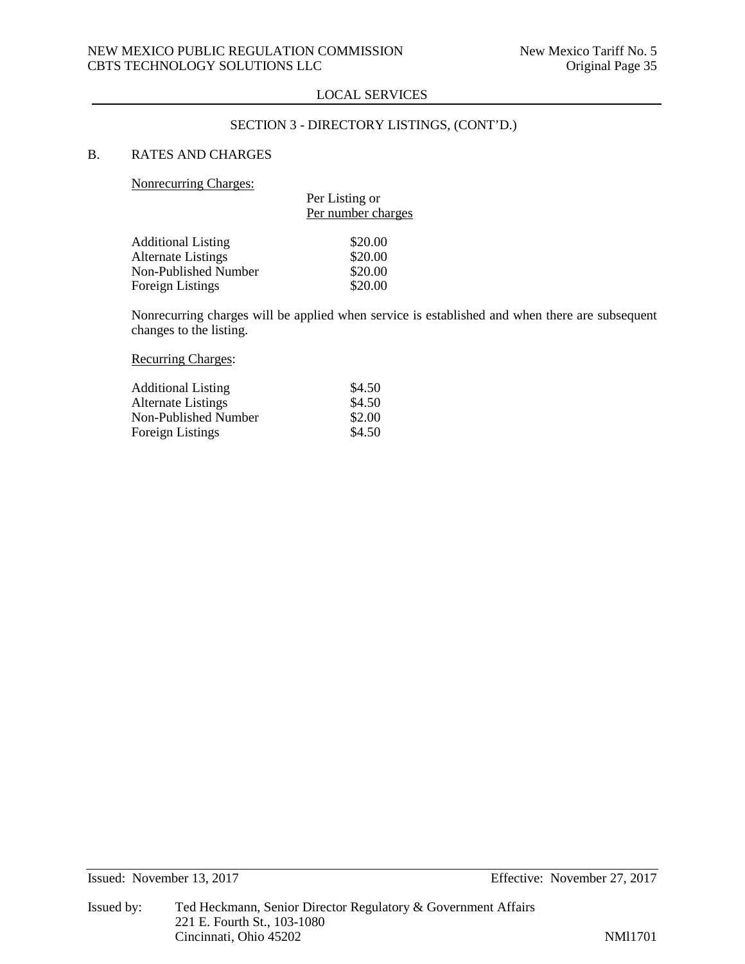## SECTION 3 - DIRECTORY LISTINGS, (CONT'D.)

# B. RATES AND CHARGES

Nonrecurring Charges:

|                           | Per Listing or     |  |  |  |
|---------------------------|--------------------|--|--|--|
|                           | Per number charges |  |  |  |
|                           |                    |  |  |  |
| <b>Additional Listing</b> | \$20.00            |  |  |  |
| <b>Alternate Listings</b> | \$20.00            |  |  |  |
| Non-Published Number      | \$20.00            |  |  |  |
| Foreign Listings          | \$20.00            |  |  |  |
|                           |                    |  |  |  |

Nonrecurring charges will be applied when service is established and when there are subsequent changes to the listing.

Recurring Charges:

| <b>Additional Listing</b> | \$4.50 |
|---------------------------|--------|
| Alternate Listings        | \$4.50 |
| Non-Published Number      | \$2.00 |
| Foreign Listings          | \$4.50 |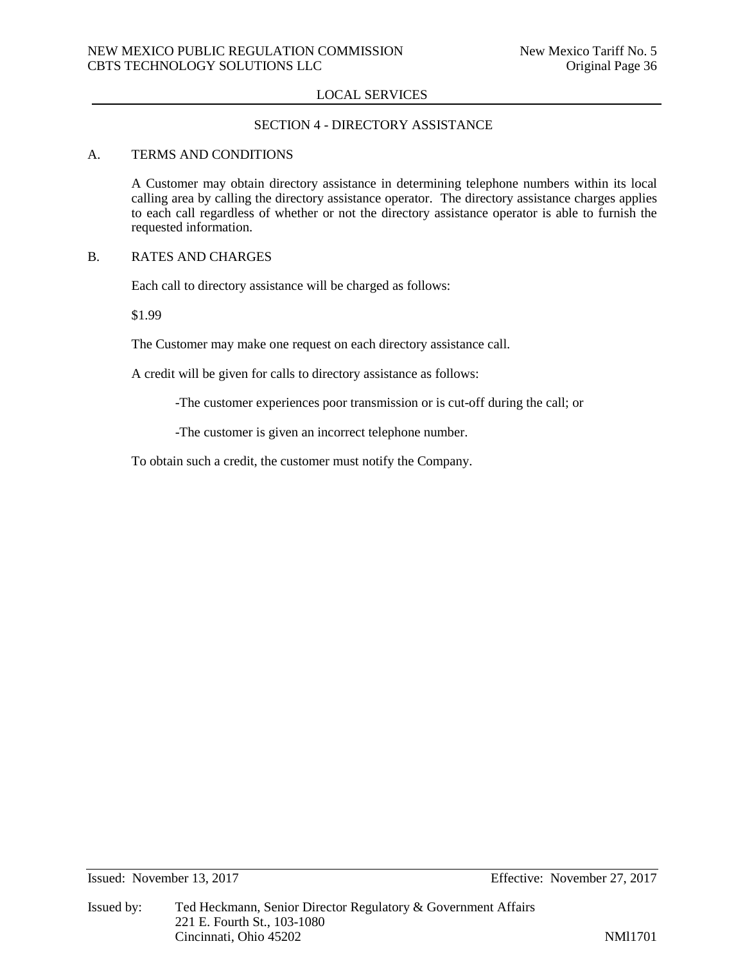# SECTION 4 - DIRECTORY ASSISTANCE

## A. TERMS AND CONDITIONS

A Customer may obtain directory assistance in determining telephone numbers within its local calling area by calling the directory assistance operator. The directory assistance charges applies to each call regardless of whether or not the directory assistance operator is able to furnish the requested information.

## B. RATES AND CHARGES

Each call to directory assistance will be charged as follows:

\$1.99

The Customer may make one request on each directory assistance call.

A credit will be given for calls to directory assistance as follows:

-The customer experiences poor transmission or is cut-off during the call; or

-The customer is given an incorrect telephone number.

To obtain such a credit, the customer must notify the Company.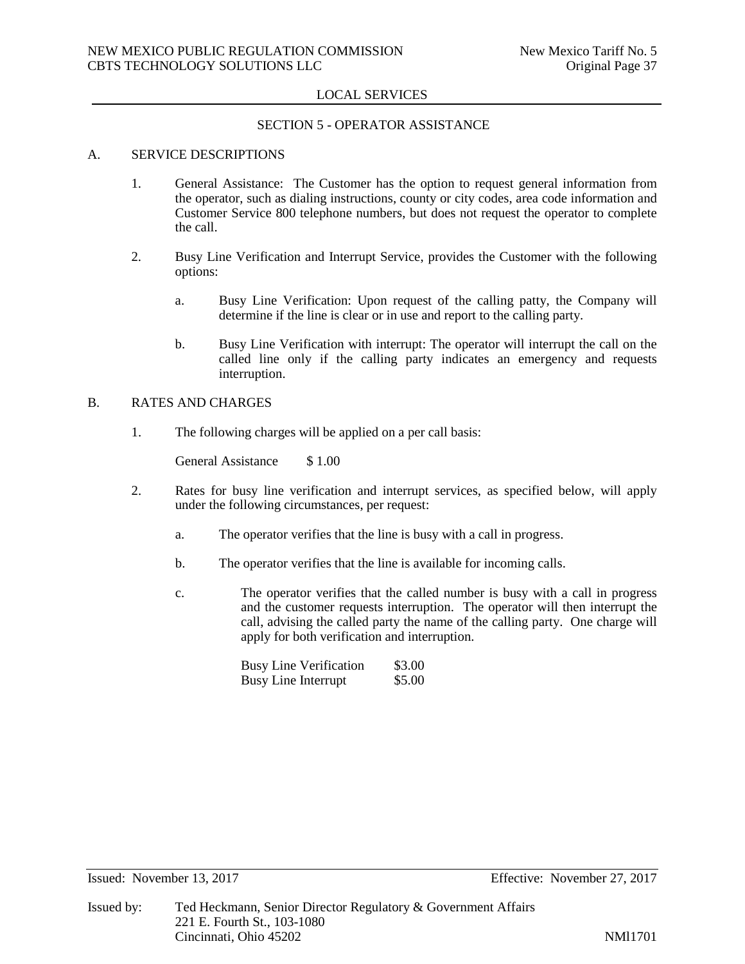#### SECTION 5 - OPERATOR ASSISTANCE

## A. SERVICE DESCRIPTIONS

- 1. General Assistance: The Customer has the option to request general information from the operator, such as dialing instructions, county or city codes, area code information and Customer Service 800 telephone numbers, but does not request the operator to complete the call.
- 2. Busy Line Verification and Interrupt Service, provides the Customer with the following options:
	- a. Busy Line Verification: Upon request of the calling patty, the Company will determine if the line is clear or in use and report to the calling party.
	- b. Busy Line Verification with interrupt: The operator will interrupt the call on the called line only if the calling party indicates an emergency and requests interruption.

## B. RATES AND CHARGES

1. The following charges will be applied on a per call basis:

General Assistance \$ 1.00

- 2. Rates for busy line verification and interrupt services, as specified below, will apply under the following circumstances, per request:
	- a. The operator verifies that the line is busy with a call in progress.
	- b. The operator verifies that the line is available for incoming calls.
	- c. The operator verifies that the called number is busy with a call in progress and the customer requests interruption. The operator will then interrupt the call, advising the called party the name of the calling party. One charge will apply for both verification and interruption.

Busy Line Verification \$3.00<br>Busy Line Interrupt \$5.00 Busy Line Interrupt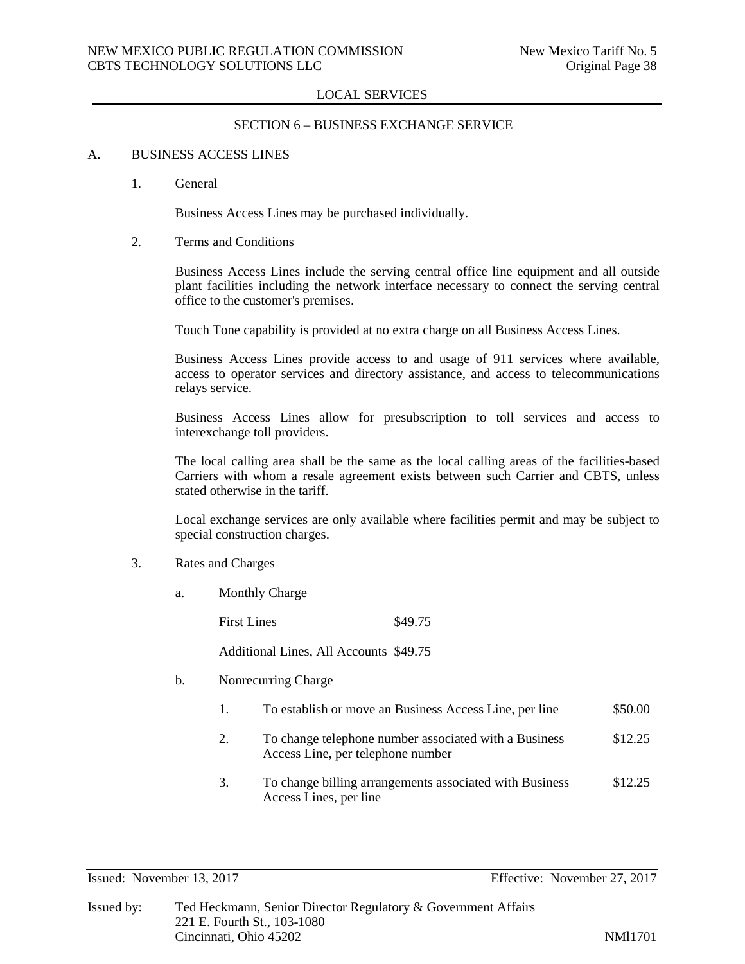## SECTION 6 – BUSINESS EXCHANGE SERVICE

#### A. BUSINESS ACCESS LINES

1. General

Business Access Lines may be purchased individually.

2. Terms and Conditions

Business Access Lines include the serving central office line equipment and all outside plant facilities including the network interface necessary to connect the serving central office to the customer's premises.

Touch Tone capability is provided at no extra charge on all Business Access Lines.

Business Access Lines provide access to and usage of 911 services where available, access to operator services and directory assistance, and access to telecommunications relays service.

Business Access Lines allow for presubscription to toll services and access to interexchange toll providers.

The local calling area shall be the same as the local calling areas of the facilities-based Carriers with whom a resale agreement exists between such Carrier and CBTS, unless stated otherwise in the tariff.

Local exchange services are only available where facilities permit and may be subject to special construction charges.

- 3. Rates and Charges
	- a. Monthly Charge

First Lines  $\$49.75$ Additional Lines, All Accounts \$49.75

- b. Nonrecurring Charge
	- 1. To establish or move an Business Access Line, per line \$50.00
	- 2. To change telephone number associated with a Business \$12.25 Access Line, per telephone number
	- 3. To change billing arrangements associated with Business \$12.25 Access Lines, per line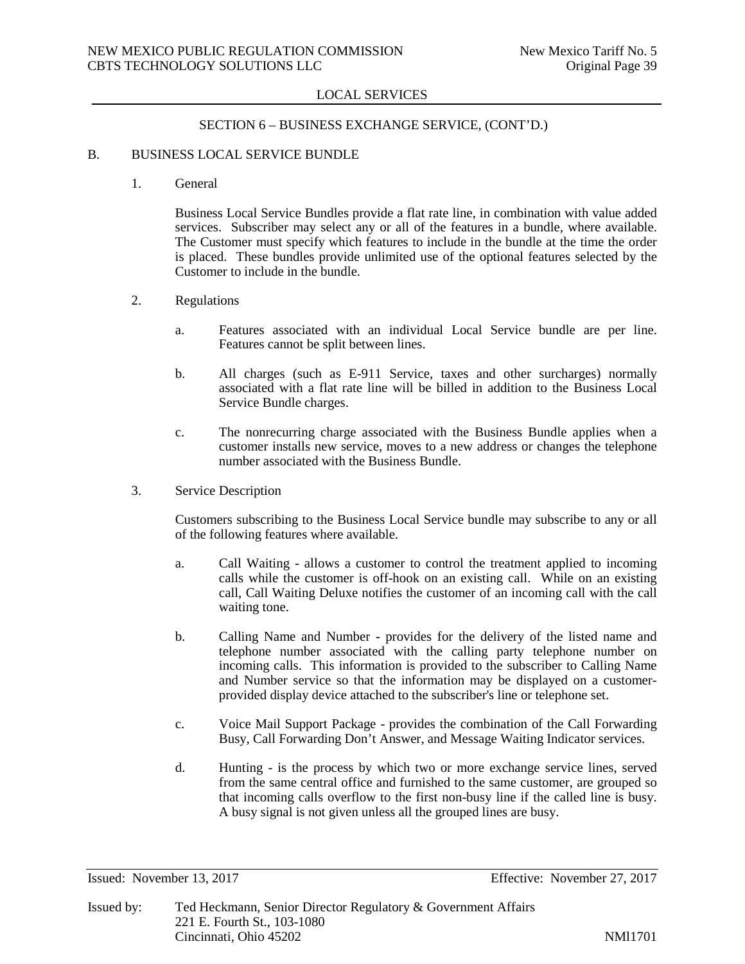### SECTION 6 – BUSINESS EXCHANGE SERVICE, (CONT'D.)

#### B. BUSINESS LOCAL SERVICE BUNDLE

1. General

Business Local Service Bundles provide a flat rate line, in combination with value added services. Subscriber may select any or all of the features in a bundle, where available. The Customer must specify which features to include in the bundle at the time the order is placed. These bundles provide unlimited use of the optional features selected by the Customer to include in the bundle.

- 2. Regulations
	- a. Features associated with an individual Local Service bundle are per line. Features cannot be split between lines.
	- b. All charges (such as E-911 Service, taxes and other surcharges) normally associated with a flat rate line will be billed in addition to the Business Local Service Bundle charges.
	- c. The nonrecurring charge associated with the Business Bundle applies when a customer installs new service, moves to a new address or changes the telephone number associated with the Business Bundle.
- 3. Service Description

Customers subscribing to the Business Local Service bundle may subscribe to any or all of the following features where available.

- a. Call Waiting allows a customer to control the treatment applied to incoming calls while the customer is off-hook on an existing call. While on an existing call, Call Waiting Deluxe notifies the customer of an incoming call with the call waiting tone.
- b. Calling Name and Number provides for the delivery of the listed name and telephone number associated with the calling party telephone number on incoming calls. This information is provided to the subscriber to Calling Name and Number service so that the information may be displayed on a customerprovided display device attached to the subscriber's line or telephone set.
- c. Voice Mail Support Package provides the combination of the Call Forwarding Busy, Call Forwarding Don't Answer, and Message Waiting Indicator services.
- d. Hunting is the process by which two or more exchange service lines, served from the same central office and furnished to the same customer, are grouped so that incoming calls overflow to the first non-busy line if the called line is busy. A busy signal is not given unless all the grouped lines are busy.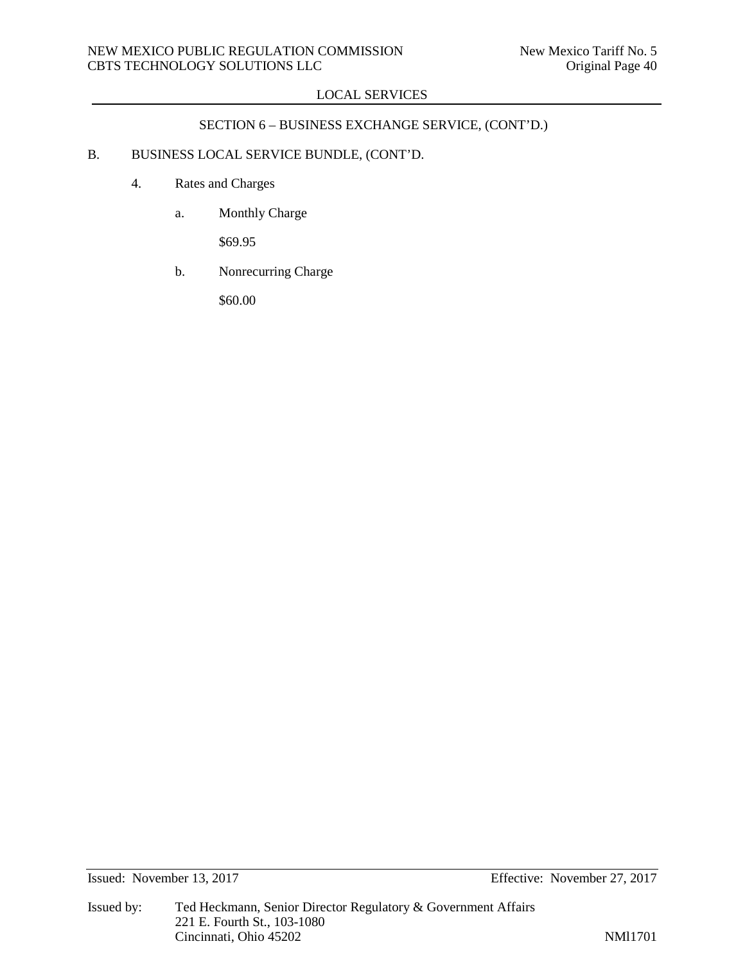# SECTION 6 – BUSINESS EXCHANGE SERVICE, (CONT'D.)

# B. BUSINESS LOCAL SERVICE BUNDLE, (CONT'D.

- 4. Rates and Charges
	- a. Monthly Charge

\$69.95

b. Nonrecurring Charge

\$60.00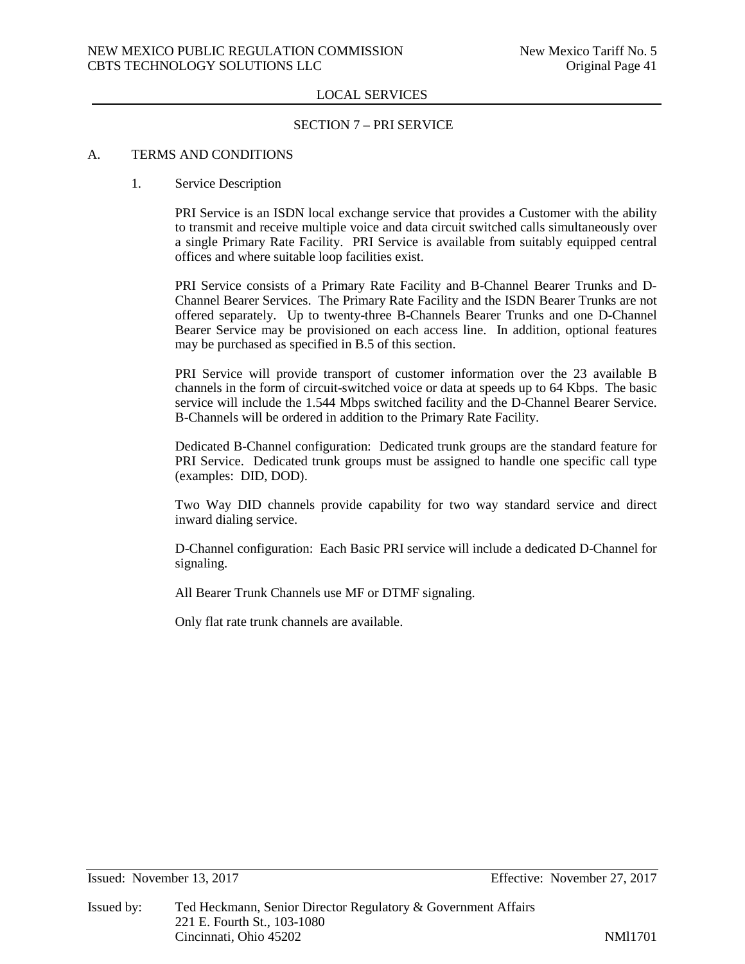#### SECTION 7 – PRI SERVICE

#### A. TERMS AND CONDITIONS

#### 1. Service Description

PRI Service is an ISDN local exchange service that provides a Customer with the ability to transmit and receive multiple voice and data circuit switched calls simultaneously over a single Primary Rate Facility. PRI Service is available from suitably equipped central offices and where suitable loop facilities exist.

PRI Service consists of a Primary Rate Facility and B-Channel Bearer Trunks and D-Channel Bearer Services. The Primary Rate Facility and the ISDN Bearer Trunks are not offered separately. Up to twenty-three B-Channels Bearer Trunks and one D-Channel Bearer Service may be provisioned on each access line. In addition, optional features may be purchased as specified in B.5 of this section.

PRI Service will provide transport of customer information over the 23 available B channels in the form of circuit-switched voice or data at speeds up to 64 Kbps. The basic service will include the 1.544 Mbps switched facility and the D-Channel Bearer Service. B-Channels will be ordered in addition to the Primary Rate Facility.

Dedicated B-Channel configuration: Dedicated trunk groups are the standard feature for PRI Service. Dedicated trunk groups must be assigned to handle one specific call type (examples: DID, DOD).

Two Way DID channels provide capability for two way standard service and direct inward dialing service.

D-Channel configuration: Each Basic PRI service will include a dedicated D-Channel for signaling.

All Bearer Trunk Channels use MF or DTMF signaling.

Only flat rate trunk channels are available.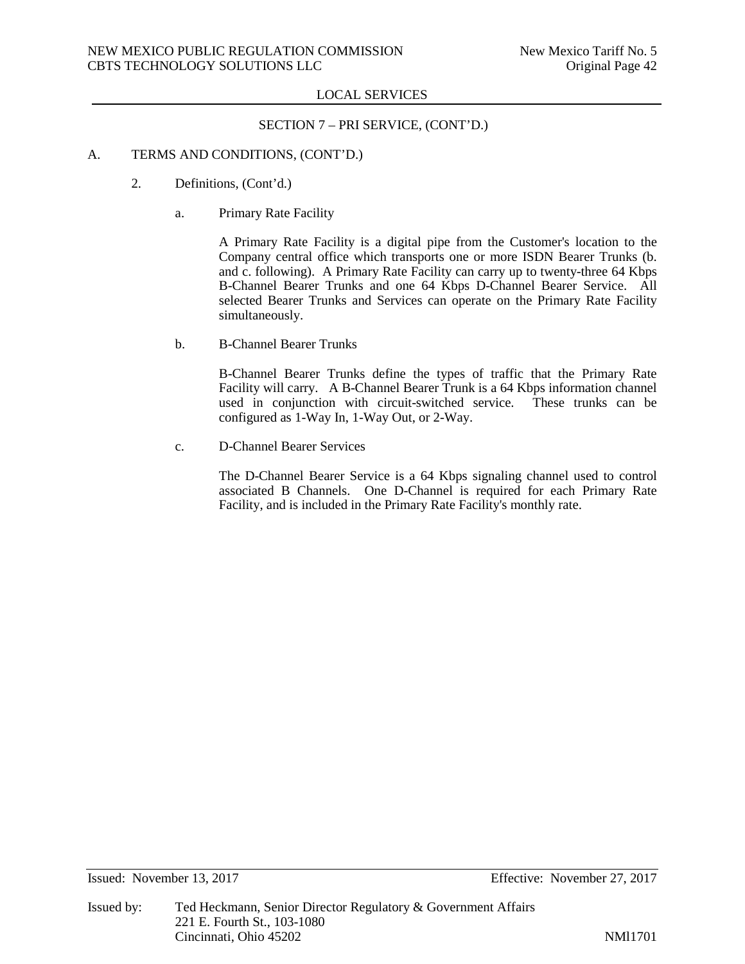## SECTION 7 – PRI SERVICE, (CONT'D.)

#### A. TERMS AND CONDITIONS, (CONT'D.)

- 2. Definitions, (Cont'd.)
	- a. Primary Rate Facility

A Primary Rate Facility is a digital pipe from the Customer's location to the Company central office which transports one or more ISDN Bearer Trunks (b. and c. following). A Primary Rate Facility can carry up to twenty-three 64 Kbps B-Channel Bearer Trunks and one 64 Kbps D-Channel Bearer Service. All selected Bearer Trunks and Services can operate on the Primary Rate Facility simultaneously.

b. B-Channel Bearer Trunks

B-Channel Bearer Trunks define the types of traffic that the Primary Rate Facility will carry. A B-Channel Bearer Trunk is a 64 Kbps information channel used in conjunction with circuit-switched service. These trunks can be configured as 1-Way In, 1-Way Out, or 2-Way.

c. D-Channel Bearer Services

The D-Channel Bearer Service is a 64 Kbps signaling channel used to control associated B Channels. One D-Channel is required for each Primary Rate Facility, and is included in the Primary Rate Facility's monthly rate.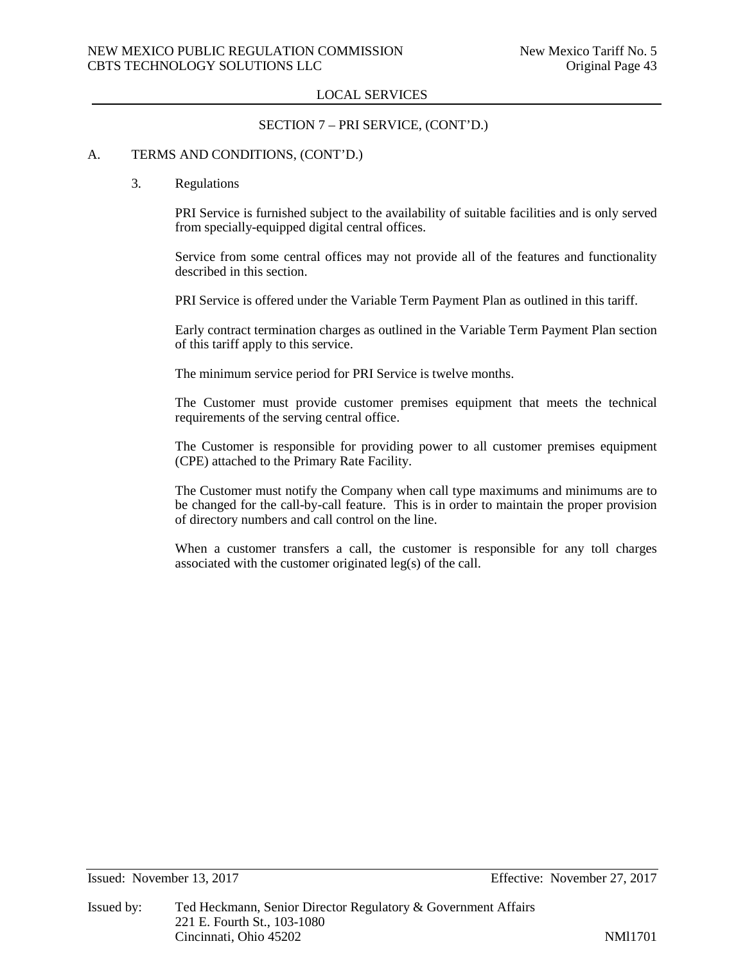## SECTION 7 – PRI SERVICE, (CONT'D.)

## A. TERMS AND CONDITIONS, (CONT'D.)

#### 3. Regulations

PRI Service is furnished subject to the availability of suitable facilities and is only served from specially-equipped digital central offices.

Service from some central offices may not provide all of the features and functionality described in this section.

PRI Service is offered under the Variable Term Payment Plan as outlined in this tariff.

Early contract termination charges as outlined in the Variable Term Payment Plan section of this tariff apply to this service.

The minimum service period for PRI Service is twelve months.

The Customer must provide customer premises equipment that meets the technical requirements of the serving central office.

The Customer is responsible for providing power to all customer premises equipment (CPE) attached to the Primary Rate Facility.

The Customer must notify the Company when call type maximums and minimums are to be changed for the call-by-call feature. This is in order to maintain the proper provision of directory numbers and call control on the line.

When a customer transfers a call, the customer is responsible for any toll charges associated with the customer originated leg(s) of the call.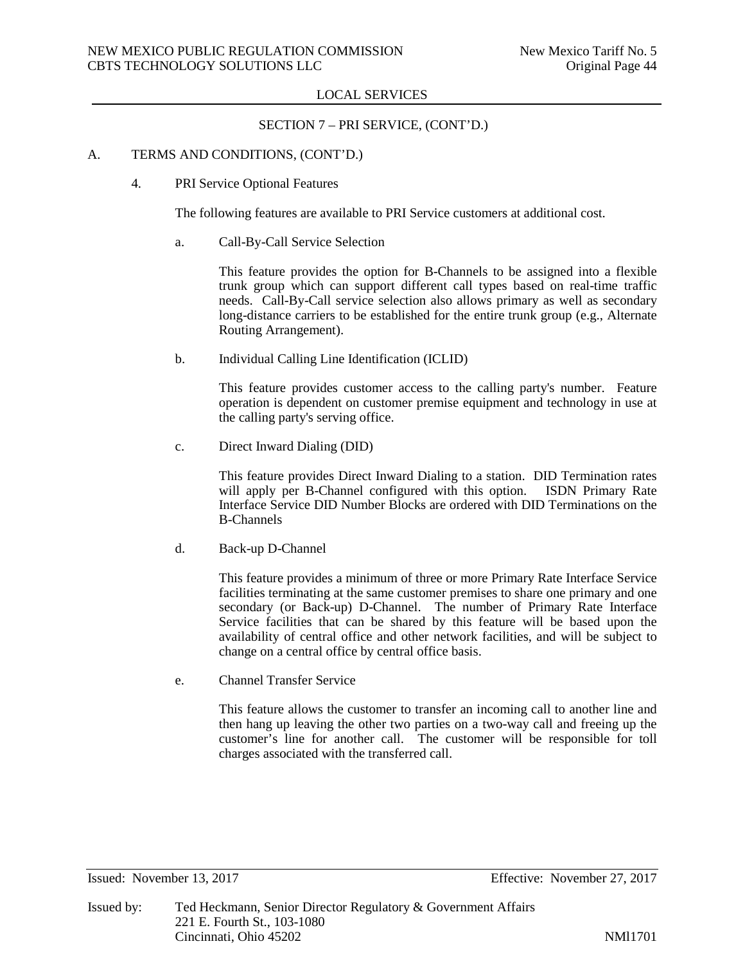#### SECTION 7 – PRI SERVICE, (CONT'D.)

#### A. TERMS AND CONDITIONS, (CONT'D.)

4. PRI Service Optional Features

The following features are available to PRI Service customers at additional cost.

a. Call-By-Call Service Selection

This feature provides the option for B-Channels to be assigned into a flexible trunk group which can support different call types based on real-time traffic needs. Call-By-Call service selection also allows primary as well as secondary long-distance carriers to be established for the entire trunk group (e.g., Alternate Routing Arrangement).

b. Individual Calling Line Identification (ICLID)

This feature provides customer access to the calling party's number. Feature operation is dependent on customer premise equipment and technology in use at the calling party's serving office.

c. Direct Inward Dialing (DID)

This feature provides Direct Inward Dialing to a station. DID Termination rates will apply per B-Channel configured with this option. ISDN Primary Rate Interface Service DID Number Blocks are ordered with DID Terminations on the B-Channels

d. Back-up D-Channel

This feature provides a minimum of three or more Primary Rate Interface Service facilities terminating at the same customer premises to share one primary and one secondary (or Back-up) D-Channel. The number of Primary Rate Interface Service facilities that can be shared by this feature will be based upon the availability of central office and other network facilities, and will be subject to change on a central office by central office basis.

e. Channel Transfer Service

This feature allows the customer to transfer an incoming call to another line and then hang up leaving the other two parties on a two-way call and freeing up the customer's line for another call. The customer will be responsible for toll charges associated with the transferred call.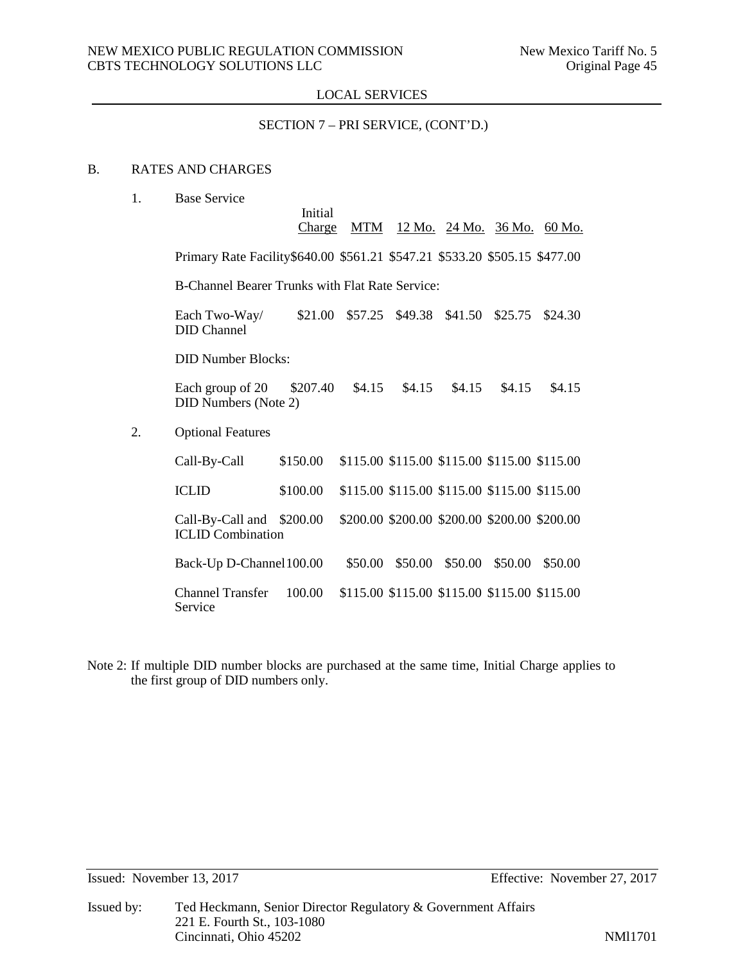## SECTION 7 – PRI SERVICE, (CONT'D.)

## B. RATES AND CHARGES

1. Base Service

|    |                                                                             | Initial<br><b>Charge</b> |         |                                              |         |         | MTM 12 Mo. 24 Mo. 36 Mo. 60 Mo. |  |  |
|----|-----------------------------------------------------------------------------|--------------------------|---------|----------------------------------------------|---------|---------|---------------------------------|--|--|
|    | Primary Rate Facility \$640.00 \$561.21 \$547.21 \$533.20 \$505.15 \$477.00 |                          |         |                                              |         |         |                                 |  |  |
|    | B-Channel Bearer Trunks with Flat Rate Service:                             |                          |         |                                              |         |         |                                 |  |  |
|    | Each Two-Way/<br><b>DID</b> Channel                                         | \$21.00                  |         | \$57.25 \$49.38                              | \$41.50 | \$25.75 | \$24.30                         |  |  |
|    | <b>DID Number Blocks:</b>                                                   |                          |         |                                              |         |         |                                 |  |  |
|    | Each group of 20<br><b>DID Numbers (Note 2)</b>                             | \$207.40                 | \$4.15  | \$4.15                                       | \$4.15  | \$4.15  | \$4.15                          |  |  |
| 2. | <b>Optional Features</b>                                                    |                          |         |                                              |         |         |                                 |  |  |
|    | Call-By-Call                                                                | \$150.00                 |         | \$115.00 \$115.00 \$115.00 \$115.00 \$115.00 |         |         |                                 |  |  |
|    | <b>ICLID</b>                                                                | \$100.00                 |         | \$115.00 \$115.00 \$115.00 \$115.00 \$115.00 |         |         |                                 |  |  |
|    | Call-By-Call and \$200.00<br><b>ICLID</b> Combination                       |                          |         | \$200.00 \$200.00 \$200.00 \$200.00 \$200.00 |         |         |                                 |  |  |
|    | Back-Up D-Channel 100.00                                                    |                          | \$50.00 | \$50.00                                      | \$50.00 | \$50.00 | \$50.00                         |  |  |
|    | <b>Channel Transfer</b><br>Service                                          | 100.00                   |         | \$115.00 \$115.00 \$115.00 \$115.00 \$115.00 |         |         |                                 |  |  |

Note 2: If multiple DID number blocks are purchased at the same time, Initial Charge applies to the first group of DID numbers only.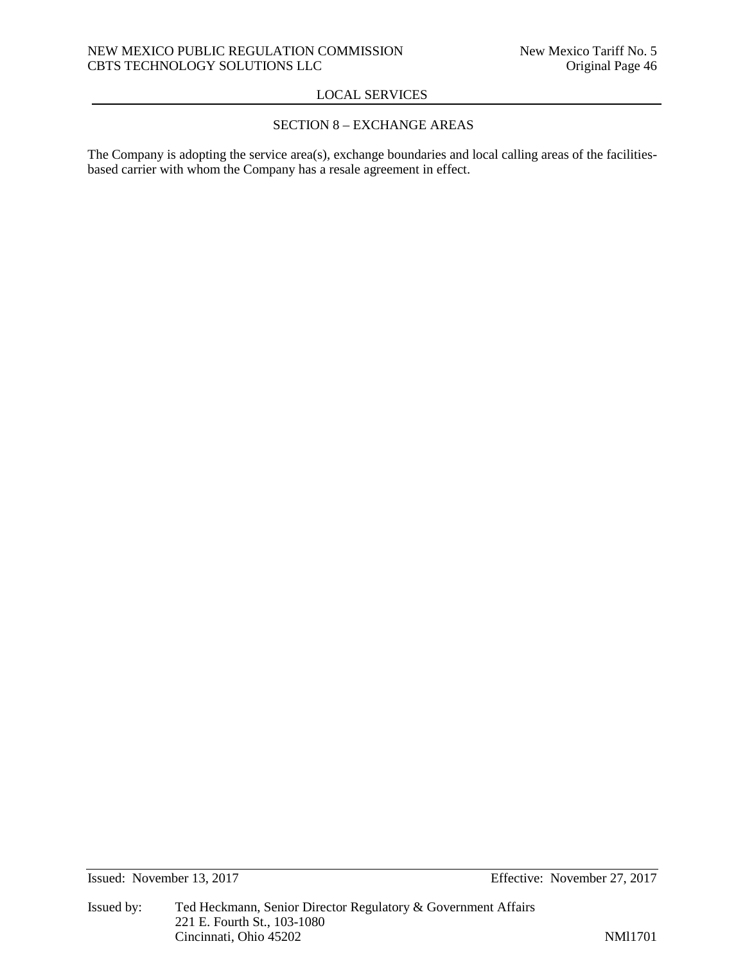## SECTION 8 – EXCHANGE AREAS

The Company is adopting the service area(s), exchange boundaries and local calling areas of the facilitiesbased carrier with whom the Company has a resale agreement in effect.